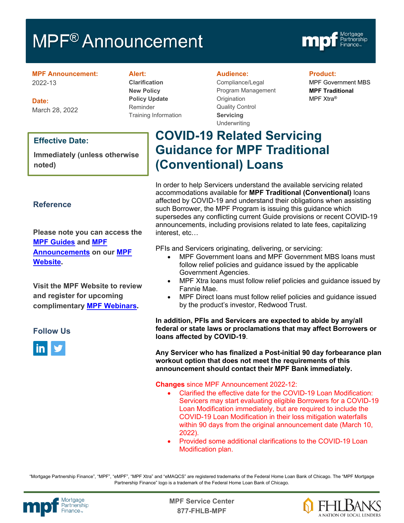# MPF<sup>®</sup> Announcement



**MPF Announcement:** 2022-13

**Date:** March 28, 2022

#### **Effective Date:**

**Immediately (unless otherwise noted)**

#### **Reference**

**Please note you can access the [MPF Guides](https://fhlbmpf.com/mpf-guides/guides) and [MPF](https://fhlbmpf.com/mpf-guides/announcements)  [Announcements](https://fhlbmpf.com/mpf-guides/announcements) on our [MPF](https://fhlbmpf.com/)  [Website.](https://fhlbmpf.com/)** 

**Visit the MPF Website to review and register for upcoming complimentary [MPF Webinars.](https://www.fhlbmpf.com/education/upcoming-webinars)**

#### **Follow Us**



#### **Alert:**

**Clarification New Policy Policy Update** Reminder Training Information

#### **Audience:**

Compliance/Legal Program Management **Origination** Quality Control **Servicing** Underwriting

#### **Product:**

MPF Government MBS **MPF Traditional** MPF Xtra®

## **COVID-19 Related Servicing Guidance for MPF Traditional (Conventional) Loans**

In order to help Servicers understand the available servicing related accommodations available for **MPF Traditional (Conventional)** loans affected by COVID-19 and understand their obligations when assisting such Borrower, the MPF Program is issuing this guidance which supersedes any conflicting current Guide provisions or recent COVID-19 announcements, including provisions related to late fees, capitalizing interest, etc…

PFIs and Servicers originating, delivering, or servicing:

- MPF Government loans and MPF Government MBS loans must follow relief policies and guidance issued by the applicable Government Agencies.
- MPF Xtra loans must follow relief policies and guidance issued by Fannie Mae.
- MPF Direct loans must follow relief policies and guidance issued by the product's investor, Redwood Trust.

**In addition, PFIs and Servicers are expected to abide by any/all federal or state laws or proclamations that may affect Borrowers or loans affected by COVID-19**.

**Any Servicer who has finalized a Post-initial 90 day forbearance plan workout option that does not meet the requirements of this announcement should contact their MPF Bank immediately.**

#### **Changes** since MPF Announcement 2022-12:

- Clarified the effective date for the COVID-19 Loan Modification: Servicers may start evaluating eligible Borrowers for a COVID-19 Loan Modification immediately, but are required to include the COVID-19 Loan Modification in their loss mitigation waterfalls within 90 days from the original announcement date (March 10, 2022).
- Provided some additional clarifications to the COVID-19 Loan Modification plan.

"Mortgage Partnership Finance", "MPF", "eMPF", "MPF Xtra" and "eMAQCS" are registered trademarks of the Federal Home Loan Bank of Chicago. The "MPF Mortgage Partnership Finance" logo is a trademark of the Federal Home Loan Bank of Chicago.



Mortgage **Canadian Communist Communist Center**<br>Partnership **877-FHLB-MPF**

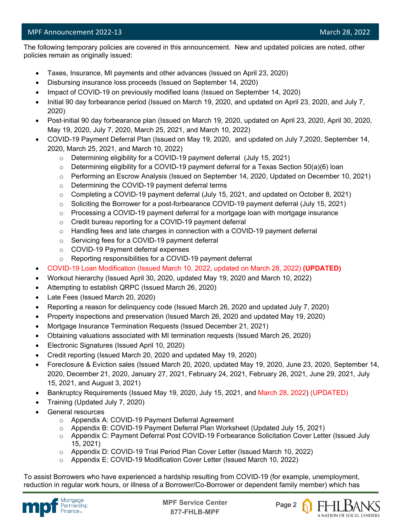#### MPF Announcement 2022-13 and 2002-13 and 2002 and 2008 and 2008 and 2008 and 2008 and 2008 and 2008 and 2008 and 2008 and 2008 and 2008 and 2008 and 2008 and 2008 and 2008 and 2008 and 2008 and 2008 and 2008 and 2008 and 2

l The following temporary policies are covered in this announcement. New and updated policies are noted, other policies remain as originally issued:

- Taxes, Insurance, MI payments and other advances (Issued on April 23, 2020)
- Disbursing insurance loss proceeds (Issued on September 14, 2020)
- Impact of COVID-19 on previously modified loans (Issued on September 14, 2020)
- Initial 90 day forbearance period (Issued on March 19, 2020, and updated on April 23, 2020, and July 7, 2020)
- Post-initial 90 day forbearance plan (Issued on March 19, 2020, updated on April 23, 2020, April 30, 2020, May 19, 2020, July 7, 2020, March 25, 2021, and March 10, 2022)
- COVID-19 Payment Deferral Plan (Issued on May 19, 2020, and updated on July 7,2020, September 14, 2020, March 25, 2021, and March 10, 2022)
	- o Determining eligibility for a COVID-19 payment deferral (July 15, 2021)
	- o Determining eligibility for a COVID-19 payment deferral for a Texas Section 50(a)(6) loan
	- o Performing an Escrow Analysis (Issued on September 14, 2020, Updated on December 10, 2021)
	- o Determining the COVID-19 payment deferral terms
	- $\circ$  Completing a COVID-19 payment deferral (July 15, 2021, and updated on October 8, 2021)
	- o Soliciting the Borrower for a post-forbearance COVID-19 payment deferral (July 15, 2021)
	- $\circ$  Processing a COVID-19 payment deferral for a mortgage loan with mortgage insurance
	- o Credit bureau reporting for a COVID-19 payment deferral
	- $\circ$  Handling fees and late charges in connection with a COVID-19 payment deferral
	- o Servicing fees for a COVID-19 payment deferral
	- o COVID-19 Payment deferral expenses
	- o Reporting responsibilities for a COVID-19 payment deferral
- COVID-19 Loan Modification (Issued March 10, 2022, updated on March 28, 2022) **(UPDATED)**
- Workout hierarchy (Issued April 30, 2020, updated May 19, 2020 and March 10, 2022)
- Attempting to establish QRPC (Issued March 26, 2020)
- Late Fees (Issued March 20, 2020)
- Reporting a reason for delinquency code (Issued March 26, 2020 and updated July 7, 2020)
- Property inspections and preservation (Issued March 26, 2020 and updated May 19, 2020)
- Mortgage Insurance Termination Requests (Issued December 21, 2021)
- Obtaining valuations associated with MI termination requests (Issued March 26, 2020)
- Electronic Signatures (Issued April 10, 2020)
- Credit reporting (Issued March 20, 2020 and updated May 19, 2020)
- Foreclosure & Eviction sales (Issued March 20, 2020, updated May 19, 2020, June 23, 2020, September 14, 2020, December 21, 2020, January 27, 2021, February 24, 2021, February 26, 2021, June 29, 2021, July 15, 2021, and August 3, 2021)
- Bankruptcy Requirements (Issued May 19, 2020, July 15, 2021, and March 28, 2022) (UPDATED)
- Training (Updated July 7, 2020)
- General resources
	- o Appendix A: COVID-19 Payment Deferral Agreement
	- o Appendix B: COVID-19 Payment Deferral Plan Worksheet (Updated July 15, 2021)
	- o Appendix C: Payment Deferral Post COVID-19 Forbearance Solicitation Cover Letter (Issued July 15, 2021)
	- o Appendix D: COVID-19 Trial Period Plan Cover Letter (Issued March 10, 2022)
	- o Appendix E: COVID-19 Modification Cover Letter (Issued March 10, 2022)

To assist Borrowers who have experienced a hardship resulting from COVID-19 (for example, unemployment, reduction in regular work hours, or illness of a Borrower/Co-Borrower or dependent family member) which has



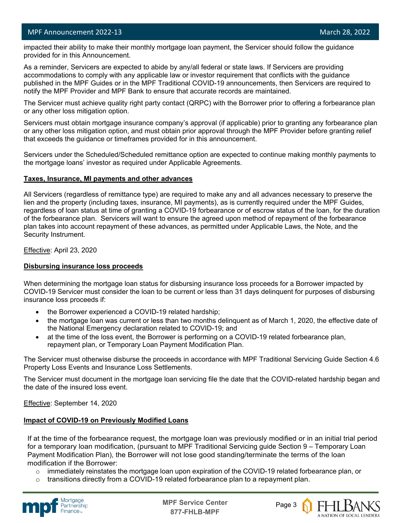l

 impacted their ability to make their monthly mortgage loan payment, the Servicer should follow the guidance provided for in this Announcement.

As a reminder, Servicers are expected to abide by any/all federal or state laws. If Servicers are providing accommodations to comply with any applicable law or investor requirement that conflicts with the guidance published in the MPF Guides or in the MPF Traditional COVID-19 announcements, then Servicers are required to notify the MPF Provider and MPF Bank to ensure that accurate records are maintained.

The Servicer must achieve quality right party contact (QRPC) with the Borrower prior to offering a forbearance plan or any other loss mitigation option.

Servicers must obtain mortgage insurance company's approval (if applicable) prior to granting any forbearance plan or any other loss mitigation option, and must obtain prior approval through the MPF Provider before granting relief that exceeds the guidance or timeframes provided for in this announcement.

Servicers under the Scheduled/Scheduled remittance option are expected to continue making monthly payments to the mortgage loans' investor as required under Applicable Agreements.

#### **Taxes, Insurance, MI payments and other advances**

All Servicers (regardless of remittance type) are required to make any and all advances necessary to preserve the lien and the property (including taxes, insurance, MI payments), as is currently required under the MPF Guides, regardless of loan status at time of granting a COVID-19 forbearance or of escrow status of the loan, for the duration of the forbearance plan. Servicers will want to ensure the agreed upon method of repayment of the forbearance plan takes into account repayment of these advances, as permitted under Applicable Laws, the Note, and the Security Instrument.

Effective: April 23, 2020

#### **Disbursing insurance loss proceeds**

When determining the mortgage loan status for disbursing insurance loss proceeds for a Borrower impacted by COVID-19 Servicer must consider the loan to be current or less than 31 days delinquent for purposes of disbursing insurance loss proceeds if:

- the Borrower experienced a COVID-19 related hardship;
- the mortgage loan was current or less than two months delinquent as of March 1, 2020, the effective date of the National Emergency declaration related to COVID-19; and
- at the time of the loss event, the Borrower is performing on a COVID-19 related forbearance plan, repayment plan, or Temporary Loan Payment Modification Plan.

The Servicer must otherwise disburse the proceeds in accordance with MPF Traditional Servicing Guide Section 4.6 Property Loss Events and Insurance Loss Settlements.

The Servicer must document in the mortgage loan servicing file the date that the COVID-related hardship began and the date of the insured loss event.

Effective: September 14, 2020

#### **Impact of COVID-19 on Previously Modified Loans**

If at the time of the forbearance request, the mortgage loan was previously modified or in an initial trial period for a temporary loan modification, (pursuant to MPF Traditional Servicing guide Section 9 – Temporary Loan Payment Modification Plan), the Borrower will not lose good standing/terminate the terms of the loan modification if the Borrower:

- $\circ$  immediately reinstates the mortgage loan upon expiration of the COVID-19 related forbearance plan, or
- transitions directly from a COVID-19 related forbearance plan to a repayment plan.



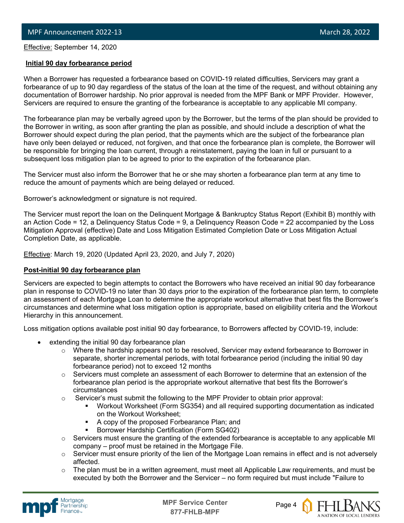Effective: September 14, 2020

l

#### **Initial 90 day forbearance period**

When a Borrower has requested a forbearance based on COVID-19 related difficulties, Servicers may grant a forbearance of up to 90 day regardless of the status of the loan at the time of the request, and without obtaining any documentation of Borrower hardship. No prior approval is needed from the MPF Bank or MPF Provider. However, Servicers are required to ensure the granting of the forbearance is acceptable to any applicable MI company.

The forbearance plan may be verbally agreed upon by the Borrower, but the terms of the plan should be provided to the Borrower in writing, as soon after granting the plan as possible, and should include a description of what the Borrower should expect during the plan period, that the payments which are the subject of the forbearance plan have only been delayed or reduced, not forgiven, and that once the forbearance plan is complete, the Borrower will be responsible for bringing the loan current, through a reinstatement, paying the loan in full or pursuant to a subsequent loss mitigation plan to be agreed to prior to the expiration of the forbearance plan.

The Servicer must also inform the Borrower that he or she may shorten a forbearance plan term at any time to reduce the amount of payments which are being delayed or reduced.

Borrower's acknowledgment or signature is not required.

The Servicer must report the loan on the Delinquent Mortgage & Bankruptcy Status Report (Exhibit B) monthly with an Action Code = 12, a Delinquency Status Code = 9, a Delinquency Reason Code = 22 accompanied by the Loss Mitigation Approval (effective) Date and Loss Mitigation Estimated Completion Date or Loss Mitigation Actual Completion Date, as applicable.

**Effective: March 19, 2020 (Updated April 23, 2020, and July 7, 2020)** 

#### **Post-initial 90 day forbearance plan**

Servicers are expected to begin attempts to contact the Borrowers who have received an initial 90 day forbearance plan in response to COVID-19 no later than 30 days prior to the expiration of the forbearance plan term, to complete an assessment of each Mortgage Loan to determine the appropriate workout alternative that best fits the Borrower's circumstances and determine what loss mitigation option is appropriate, based on eligibility criteria and the Workout Hierarchy in this announcement.

Loss mitigation options available post initial 90 day forbearance, to Borrowers affected by COVID-19, include:

- extending the initial 90 day forbearance plan
	- $\circ$  Where the hardship appears not to be resolved, Servicer may extend forbearance to Borrower in separate, shorter incremental periods, with total forbearance period (including the initial 90 day forbearance period) not to exceed 12 months
	- $\circ$  Servicers must complete an assessment of each Borrower to determine that an extension of the forbearance plan period is the appropriate workout alternative that best fits the Borrower's circumstances
	- $\circ$  Servicer's must submit the following to the MPF Provider to obtain prior approval:
		- Workout Worksheet (Form SG354) and all required supporting documentation as indicated on the Workout Worksheet;
		- A copy of the proposed Forbearance Plan; and
		- Borrower Hardship Certification (Form SG402)
	- o Servicers must ensure the granting of the extended forbearance is acceptable to any applicable MI company – proof must be retained in the Mortgage File.
	- $\circ$  Servicer must ensure priority of the lien of the Mortgage Loan remains in effect and is not adversely affected.
	- $\circ$  The plan must be in a written agreement, must meet all Applicable Law requirements, and must be executed by both the Borrower and the Servicer – no form required but must include "Failure to



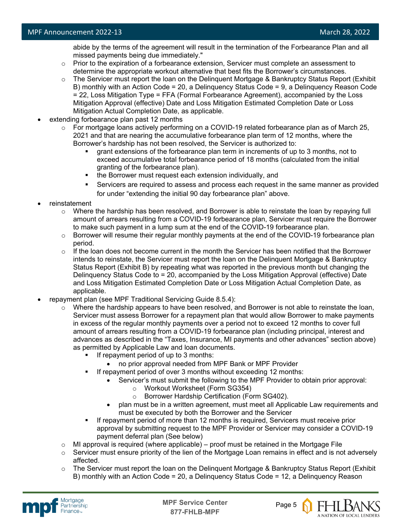abide by the terms of the agreement will result in the termination of the Forbearance Plan and all missed payments being due immediately."

- $\circ$  Prior to the expiration of a forbearance extension, Servicer must complete an assessment to determine the appropriate workout alternative that best fits the Borrower's circumstances.
- o The Servicer must report the loan on the Delinquent Mortgage & Bankruptcy Status Report (Exhibit B) monthly with an Action Code = 20, a Delinquency Status Code = 9, a Delinquency Reason Code = 22, Loss Mitigation Type = FFA (Formal Forbearance Agreement), accompanied by the Loss Mitigation Approval (effective) Date and Loss Mitigation Estimated Completion Date or Loss Mitigation Actual Completion Date, as applicable.
- extending forbearance plan past 12 months
	- $\circ$  For mortgage loans actively performing on a COVID-19 related forbearance plan as of March 25, 2021 and that are nearing the accumulative forbearance plan term of 12 months, where the Borrower's hardship has not been resolved, the Servicer is authorized to:
		- grant extensions of the forbearance plan term in increments of up to 3 months, not to exceed accumulative total forbearance period of 18 months (calculated from the initial granting of the forbearance plan).
		- the Borrower must request each extension individually, and
		- Servicers are required to assess and process each request in the same manner as provided for under "extending the initial 90 day forbearance plan" above.
- reinstatement
	- $\circ$  Where the hardship has been resolved, and Borrower is able to reinstate the loan by repaying full amount of arrears resulting from a COVID-19 forbearance plan, Servicer must require the Borrower to make such payment in a lump sum at the end of the COVID-19 forbearance plan.
	- $\circ$  Borrower will resume their regular monthly payments at the end of the COVID-19 forbearance plan period.
	- $\circ$  If the loan does not become current in the month the Servicer has been notified that the Borrower intends to reinstate, the Servicer must report the loan on the Delinquent Mortgage & Bankruptcy Status Report (Exhibit B) by repeating what was reported in the previous month but changing the Delinquency Status Code to = 20, accompanied by the Loss Mitigation Approval (effective) Date and Loss Mitigation Estimated Completion Date or Loss Mitigation Actual Completion Date, as applicable.
- repayment plan (see MPF Traditional Servicing Guide 8.5.4):
	- $\circ$  Where the hardship appears to have been resolved, and Borrower is not able to reinstate the loan, Servicer must assess Borrower for a repayment plan that would allow Borrower to make payments in excess of the regular monthly payments over a period not to exceed 12 months to cover full amount of arrears resulting from a COVID-19 forbearance plan (including principal, interest and advances as described in the "Taxes, Insurance, MI payments and other advances" section above) as permitted by Applicable Law and loan documents.
		- If repayment period of up to 3 months:
			- no prior approval needed from MPF Bank or MPF Provider
		- If repayment period of over 3 months without exceeding 12 months:
			- Servicer's must submit the following to the MPF Provider to obtain prior approval:
				- o Workout Worksheet (Form SG354)
				- o Borrower Hardship Certification (Form SG402).
			- plan must be in a written agreement, must meet all Applicable Law requirements and must be executed by both the Borrower and the Servicer
		- If repayment period of more than 12 months is required, Servicers must receive prior approval by submitting request to the MPF Provider or Servicer may consider a COVID-19 payment deferral plan (See below)
	- $\circ$  MI approval is required (where applicable) proof must be retained in the Mortgage File
	- $\circ$  Servicer must ensure priority of the lien of the Mortgage Loan remains in effect and is not adversely affected.
	- $\circ$  The Servicer must report the loan on the Delinquent Mortgage & Bankruptcy Status Report (Exhibit B) monthly with an Action Code = 20, a Delinquency Status Code = 12, a Delinquency Reason



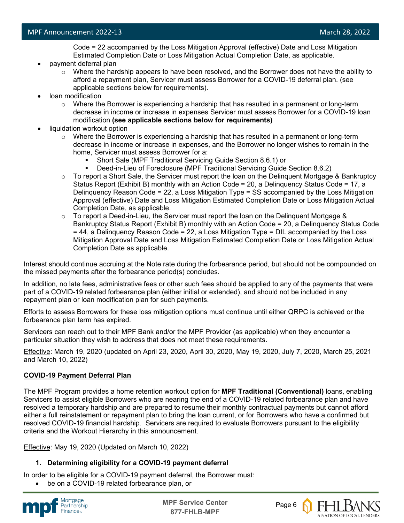Code = 22 accompanied by the Loss Mitigation Approval (effective) Date and Loss Mitigation Estimated Completion Date or Loss Mitigation Actual Completion Date, as applicable.

- payment deferral plan
	- $\circ$  Where the hardship appears to have been resolved, and the Borrower does not have the ability to afford a repayment plan, Servicer must assess Borrower for a COVID-19 deferral plan. (see applicable sections below for requirements).
- loan modification
	- $\circ$  Where the Borrower is experiencing a hardship that has resulted in a permanent or long-term decrease in income or increase in expenses Servicer must assess Borrower for a COVID-19 loan modification **(see applicable sections below for requirements)**
- liquidation workout option
	- $\circ$  Where the Borrower is experiencing a hardship that has resulted in a permanent or long-term decrease in income or increase in expenses, and the Borrower no longer wishes to remain in the home, Servicer must assess Borrower for a:
		- Short Sale (MPF Traditional Servicing Guide Section 8.6.1) or
		- Deed-in-Lieu of Foreclosure (MPF Traditional Servicing Guide Section 8.6.2)
	- $\circ$  To report a Short Sale, the Servicer must report the loan on the Delinguent Mortgage & Bankruptcy Status Report (Exhibit B) monthly with an Action Code = 20, a Delinquency Status Code = 17, a Delinquency Reason Code = 22, a Loss Mitigation Type = SS accompanied by the Loss Mitigation Approval (effective) Date and Loss Mitigation Estimated Completion Date or Loss Mitigation Actual Completion Date, as applicable.
	- $\circ$  To report a Deed-in-Lieu, the Servicer must report the loan on the Delinguent Mortgage & Bankruptcy Status Report (Exhibit B) monthly with an Action Code = 20, a Delinquency Status Code = 44, a Delinquency Reason Code = 22, a Loss Mitigation Type = DIL accompanied by the Loss Mitigation Approval Date and Loss Mitigation Estimated Completion Date or Loss Mitigation Actual Completion Date as applicable.

Interest should continue accruing at the Note rate during the forbearance period, but should not be compounded on the missed payments after the forbearance period(s) concludes.

In addition, no late fees, administrative fees or other such fees should be applied to any of the payments that were part of a COVID-19 related forbearance plan (either initial or extended), and should not be included in any repayment plan or loan modification plan for such payments.

Efforts to assess Borrowers for these loss mitigation options must continue until either QRPC is achieved or the forbearance plan term has expired.

Servicers can reach out to their MPF Bank and/or the MPF Provider (as applicable) when they encounter a particular situation they wish to address that does not meet these requirements.

Effective: March 19, 2020 (updated on April 23, 2020, April 30, 2020, May 19, 2020, July 7, 2020, March 25, 2021 and March 10, 2022)

#### **COVID-19 Payment Deferral Plan**

The MPF Program provides a home retention workout option for **MPF Traditional (Conventional)** loans, enabling Servicers to assist eligible Borrowers who are nearing the end of a COVID-19 related forbearance plan and have resolved a temporary hardship and are prepared to resume their monthly contractual payments but cannot afford either a full reinstatement or repayment plan to bring the loan current, or for Borrowers who have a confirmed but resolved COVID-19 financial hardship. Servicers are required to evaluate Borrowers pursuant to the eligibility criteria and the Workout Hierarchy in this announcement.

Effective: May 19, 2020 (Updated on March 10, 2022)

#### **1. Determining eligibility for a COVID-19 payment deferral**

In order to be eligible for a COVID-19 payment deferral, the Borrower must:

be on a COVID-19 related forbearance plan, or



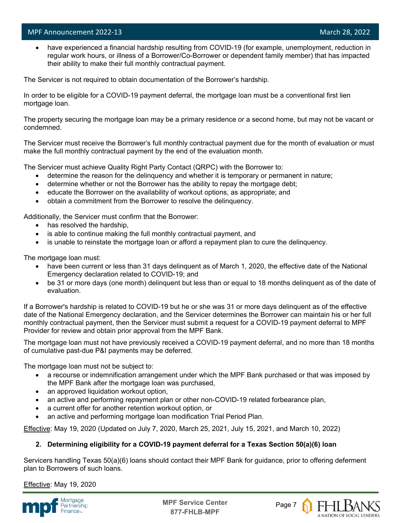l

have experienced a financial hardship resulting from COVID-19 (for example, unemployment, reduction in regular work hours, or illness of a Borrower/Co-Borrower or dependent family member) that has impacted their ability to make their full monthly contractual payment.

The Servicer is not required to obtain documentation of the Borrower's hardship.

In order to be eligible for a COVID-19 payment deferral, the mortgage loan must be a conventional first lien mortgage loan.

The property securing the mortgage loan may be a primary residence or a second home, but may not be vacant or condemned.

The Servicer must receive the Borrower's full monthly contractual payment due for the month of evaluation or must make the full monthly contractual payment by the end of the evaluation month.

The Servicer must achieve Quality Right Party Contact (QRPC) with the Borrower to:

- determine the reason for the delinquency and whether it is temporary or permanent in nature;
- determine whether or not the Borrower has the ability to repay the mortgage debt;
- educate the Borrower on the availability of workout options, as appropriate; and
- obtain a commitment from the Borrower to resolve the delinquency.

Additionally, the Servicer must confirm that the Borrower:

- has resolved the hardship,
- is able to continue making the full monthly contractual payment, and
- is unable to reinstate the mortgage loan or afford a repayment plan to cure the delinquency.

The mortgage loan must:

- have been current or less than 31 days delinguent as of March 1, 2020, the effective date of the National Emergency declaration related to COVID-19; and
- be 31 or more days (one month) delinquent but less than or equal to 18 months delinquent as of the date of evaluation.

If a Borrower's hardship is related to COVID-19 but he or she was 31 or more days delinquent as of the effective date of the National Emergency declaration, and the Servicer determines the Borrower can maintain his or her full monthly contractual payment, then the Servicer must submit a request for a COVID-19 payment deferral to MPF Provider for review and obtain prior approval from the MPF Bank.

The mortgage loan must not have previously received a COVID-19 payment deferral, and no more than 18 months of cumulative past-due P&I payments may be deferred.

The mortgage loan must not be subject to:

- a recourse or indemnification arrangement under which the MPF Bank purchased or that was imposed by the MPF Bank after the mortgage loan was purchased,
- an approved liquidation workout option,
- an active and performing repayment plan or other non-COVID-19 related forbearance plan,
- a current offer for another retention workout option, or
- an active and performing mortgage loan modification Trial Period Plan.

Effective: May 19, 2020 (Updated on July 7, 2020, March 25, 2021, July 15, 2021, and March 10, 2022)

#### **2. Determining eligibility for a COVID-19 payment deferral for a Texas Section 50(a)(6) loan**

Servicers handling Texas 50(a)(6) loans should contact their MPF Bank for guidance, prior to offering deferment plan to Borrowers of such loans.

Effective: May 19, 2020



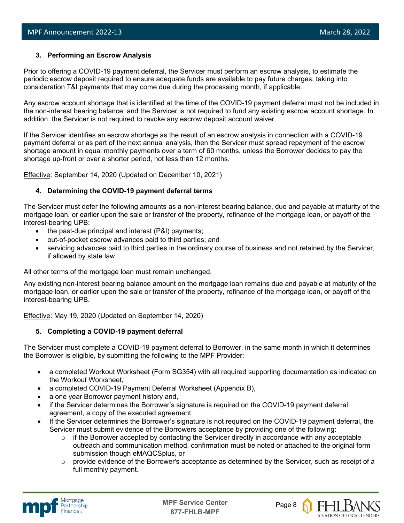#### **3. Performing an Escrow Analysis**

Prior to offering a COVID-19 payment deferral, the Servicer must perform an escrow analysis, to estimate the periodic escrow deposit required to ensure adequate funds are available to pay future charges, taking into consideration T&I payments that may come due during the processing month, if applicable.

Any escrow account shortage that is identified at the time of the COVID-19 payment deferral must not be included in the non-interest bearing balance, and the Servicer is not required to fund any existing escrow account shortage. In addition, the Servicer is not required to revoke any escrow deposit account waiver.

If the Servicer identifies an escrow shortage as the result of an escrow analysis in connection with a COVID-19 payment deferral or as part of the next annual analysis, then the Servicer must spread repayment of the escrow shortage amount in equal monthly payments over a term of 60 months, unless the Borrower decides to pay the shortage up-front or over a shorter period, not less than 12 months.

Effective: September 14, 2020 (Updated on December 10, 2021)

#### **4. Determining the COVID-19 payment deferral terms**

The Servicer must defer the following amounts as a non-interest bearing balance, due and payable at maturity of the mortgage loan, or earlier upon the sale or transfer of the property, refinance of the mortgage loan, or payoff of the interest-bearing UPB:

- the past-due principal and interest (P&I) payments;
- out-of-pocket escrow advances paid to third parties; and
- servicing advances paid to third parties in the ordinary course of business and not retained by the Servicer, if allowed by state law.

All other terms of the mortgage loan must remain unchanged.

Any existing non-interest bearing balance amount on the mortgage loan remains due and payable at maturity of the mortgage loan, or earlier upon the sale or transfer of the property, refinance of the mortgage loan, or payoff of the interest-bearing UPB.

Effective: May 19, 2020 (Updated on September 14, 2020)

#### **5. Completing a COVID-19 payment deferral**

The Servicer must complete a COVID-19 payment deferral to Borrower, in the same month in which it determines the Borrower is eligible, by submitting the following to the MPF Provider:

- a completed Workout Worksheet (Form SG354) with all required supporting documentation as indicated on the Workout Worksheet,
- a completed COVID-19 Payment Deferral Worksheet (Appendix B),
- a one year Borrower payment history and,
- if the Servicer determines the Borrower's signature is required on the COVID-19 payment deferral agreement, a copy of the executed agreement.
- If the Servicer determines the Borrower's signature is not required on the COVID-19 payment deferral, the Servicer must submit evidence of the Borrowers acceptance by providing one of the following:
	- $\circ$  if the Borrower accepted by contacting the Servicer directly in accordance with any acceptable outreach and communication method, confirmation must be noted or attached to the original form submission though eMAQCSplus, or
	- $\circ$  provide evidence of the Borrower's acceptance as determined by the Servicer, such as receipt of a full monthly payment.



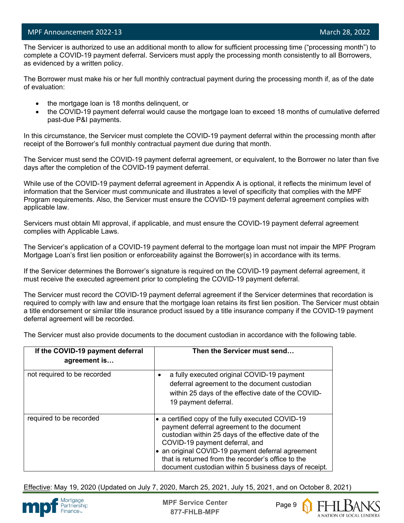l

 The Servicer is authorized to use an additional month to allow for sufficient processing time ("processing month") to complete a COVID-19 payment deferral. Servicers must apply the processing month consistently to all Borrowers, as evidenced by a written policy.

The Borrower must make his or her full monthly contractual payment during the processing month if, as of the date of evaluation:

- the mortgage loan is 18 months delinquent, or
- the COVID-19 payment deferral would cause the mortgage loan to exceed 18 months of cumulative deferred past-due P&I payments.

In this circumstance, the Servicer must complete the COVID-19 payment deferral within the processing month after receipt of the Borrower's full monthly contractual payment due during that month.

The Servicer must send the COVID-19 payment deferral agreement, or equivalent, to the Borrower no later than five days after the completion of the COVID-19 payment deferral.

While use of the COVID-19 payment deferral agreement in Appendix A is optional, it reflects the minimum level of information that the Servicer must communicate and illustrates a level of specificity that complies with the MPF Program requirements. Also, the Servicer must ensure the COVID-19 payment deferral agreement complies with applicable law.

Servicers must obtain MI approval, if applicable, and must ensure the COVID-19 payment deferral agreement complies with Applicable Laws.

The Servicer's application of a COVID-19 payment deferral to the mortgage loan must not impair the MPF Program Mortgage Loan's first lien position or enforceability against the Borrower(s) in accordance with its terms.

If the Servicer determines the Borrower's signature is required on the COVID-19 payment deferral agreement, it must receive the executed agreement prior to completing the COVID-19 payment deferral.

The Servicer must record the COVID-19 payment deferral agreement if the Servicer determines that recordation is required to comply with law and ensure that the mortgage loan retains its first lien position. The Servicer must obtain a title endorsement or similar title insurance product issued by a title insurance company if the COVID-19 payment deferral agreement will be recorded.

The Servicer must also provide documents to the document custodian in accordance with the following table.

| If the COVID-19 payment deferral<br>agreement is | Then the Servicer must send                                                                                                                                                                                                                                                                                                                                  |
|--------------------------------------------------|--------------------------------------------------------------------------------------------------------------------------------------------------------------------------------------------------------------------------------------------------------------------------------------------------------------------------------------------------------------|
| not required to be recorded                      | a fully executed original COVID-19 payment<br>deferral agreement to the document custodian<br>within 25 days of the effective date of the COVID-<br>19 payment deferral.                                                                                                                                                                                     |
| required to be recorded                          | • a certified copy of the fully executed COVID-19<br>payment deferral agreement to the document<br>custodian within 25 days of the effective date of the<br>COVID-19 payment deferral, and<br>an original COVID-19 payment deferral agreement<br>that is returned from the recorder's office to the<br>document custodian within 5 business days of receipt. |

Effective: May 19, 2020 (Updated on July 7, 2020, March 25, 2021, July 15, 2021, and on October 8, 2021)



**MPF Service Center** Page 9 **877-FHLB-MPF**

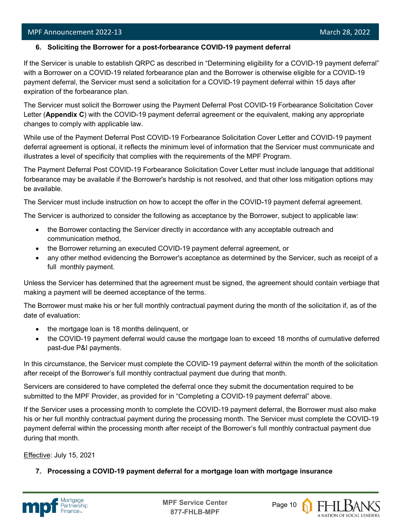l

If the Servicer is unable to establish QRPC as described in "Determining eligibility for a COVID-19 payment deferral" with a Borrower on a COVID-19 related forbearance plan and the Borrower is otherwise eligible for a COVID-19 payment deferral, the Servicer must send a solicitation for a COVID-19 payment deferral within 15 days after expiration of the forbearance plan.

The Servicer must solicit the Borrower using the Payment Deferral Post COVID-19 Forbearance Solicitation Cover Letter (**Appendix C**) with the COVID-19 payment deferral agreement or the equivalent, making any appropriate changes to comply with applicable law.

While use of the Payment Deferral Post COVID-19 Forbearance Solicitation Cover Letter and COVID-19 payment deferral agreement is optional, it reflects the minimum level of information that the Servicer must communicate and illustrates a level of specificity that complies with the requirements of the MPF Program.

The Payment Deferral Post COVID-19 Forbearance Solicitation Cover Letter must include language that additional forbearance may be available if the Borrower's hardship is not resolved, and that other loss mitigation options may be available.

The Servicer must include instruction on how to accept the offer in the COVID-19 payment deferral agreement.

The Servicer is authorized to consider the following as acceptance by the Borrower, subject to applicable law:

- the Borrower contacting the Servicer directly in accordance with any acceptable outreach and communication method,
- the Borrower returning an executed COVID-19 payment deferral agreement, or
- any other method evidencing the Borrower's acceptance as determined by the Servicer, such as receipt of a full monthly payment.

Unless the Servicer has determined that the agreement must be signed, the agreement should contain verbiage that making a payment will be deemed acceptance of the terms.

The Borrower must make his or her full monthly contractual payment during the month of the solicitation if, as of the date of evaluation:

- the mortgage loan is 18 months delinquent, or
- the COVID-19 payment deferral would cause the mortgage loan to exceed 18 months of cumulative deferred past-due P&I payments.

In this circumstance, the Servicer must complete the COVID-19 payment deferral within the month of the solicitation after receipt of the Borrower's full monthly contractual payment due during that month.

Servicers are considered to have completed the deferral once they submit the documentation required to be submitted to the MPF Provider, as provided for in "Completing a COVID-19 payment deferral" above.

If the Servicer uses a processing month to complete the COVID-19 payment deferral, the Borrower must also make his or her full monthly contractual payment during the processing month. The Servicer must complete the COVID-19 payment deferral within the processing month after receipt of the Borrower's full monthly contractual payment due during that month.

Effective: July 15, 2021

**7. Processing a COVID-19 payment deferral for a mortgage loan with mortgage insurance**



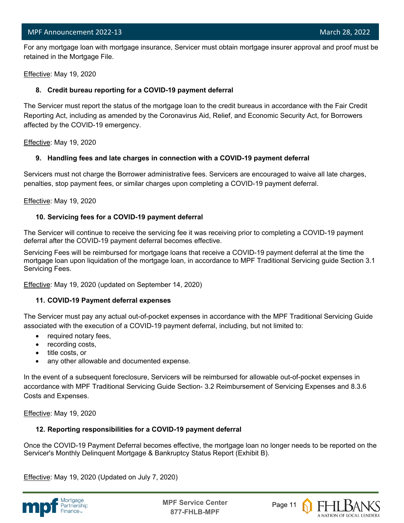l For any mortgage loan with mortgage insurance, Servicer must obtain mortgage insurer approval and proof must be retained in the Mortgage File.

Effective: May 19, 2020

#### **8. Credit bureau reporting for a COVID-19 payment deferral**

The Servicer must report the status of the mortgage loan to the credit bureaus in accordance with the Fair Credit Reporting Act, including as amended by the Coronavirus Aid, Relief, and Economic Security Act, for Borrowers affected by the COVID-19 emergency.

Effective: May 19, 2020

#### **9. Handling fees and late charges in connection with a COVID-19 payment deferral**

Servicers must not charge the Borrower administrative fees. Servicers are encouraged to waive all late charges, penalties, stop payment fees, or similar charges upon completing a COVID-19 payment deferral.

Effective: May 19, 2020

#### **10. Servicing fees for a COVID-19 payment deferral**

The Servicer will continue to receive the servicing fee it was receiving prior to completing a COVID-19 payment deferral after the COVID-19 payment deferral becomes effective.

Servicing Fees will be reimbursed for mortgage loans that receive a COVID-19 payment deferral at the time the mortgage loan upon liquidation of the mortgage loan, in accordance to MPF Traditional Servicing guide Section 3.1 Servicing Fees.

Effective: May 19, 2020 (updated on September 14, 2020)

#### **11. COVID-19 Payment deferral expenses**

The Servicer must pay any actual out-of-pocket expenses in accordance with the MPF Traditional Servicing Guide associated with the execution of a COVID-19 payment deferral, including, but not limited to:

- required notary fees,
- recording costs,
- title costs, or
- any other allowable and documented expense.

In the event of a subsequent foreclosure, Servicers will be reimbursed for allowable out-of-pocket expenses in accordance with MPF Traditional Servicing Guide Section- 3.2 Reimbursement of Servicing Expenses and 8.3.6 Costs and Expenses.

Effective: May 19, 2020

#### **12. Reporting responsibilities for a COVID-19 payment deferral**

Once the COVID-19 Payment Deferral becomes effective, the mortgage loan no longer needs to be reported on the Servicer's Monthly Delinquent Mortgage & Bankruptcy Status Report (Exhibit B).

Effective: May 19, 2020 (Updated on July 7, 2020)



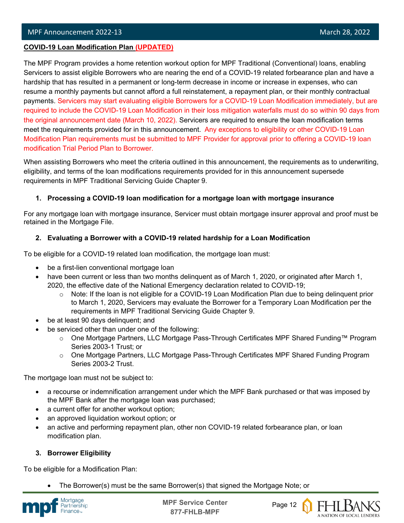#### l **COVID-19 Loan Modification Plan (UPDATED)**

The MPF Program provides a home retention workout option for MPF Traditional (Conventional) loans, enabling Servicers to assist eligible Borrowers who are nearing the end of a COVID-19 related forbearance plan and have a hardship that has resulted in a permanent or long-term decrease in income or increase in expenses, who can resume a monthly payments but cannot afford a full reinstatement, a repayment plan, or their monthly contractual payments. Servicers may start evaluating eligible Borrowers for a COVID-19 Loan Modification immediately, but are required to include the COVID-19 Loan Modification in their loss mitigation waterfalls must do so within 90 days from the original announcement date (March 10, 2022). Servicers are required to ensure the loan modification terms meet the requirements provided for in this announcement. Any exceptions to eligibility or other COVID-19 Loan Modification Plan requirements must be submitted to MPF Provider for approval prior to offering a COVID-19 loan modification Trial Period Plan to Borrower.

When assisting Borrowers who meet the criteria outlined in this announcement, the requirements as to underwriting, eligibility, and terms of the loan modifications requirements provided for in this announcement supersede requirements in MPF Traditional Servicing Guide Chapter 9.

#### **1. Processing a COVID-19 loan modification for a mortgage loan with mortgage insurance**

For any mortgage loan with mortgage insurance, Servicer must obtain mortgage insurer approval and proof must be retained in the Mortgage File.

#### **2. Evaluating a Borrower with a COVID-19 related hardship for a Loan Modification**

To be eligible for a COVID-19 related loan modification, the mortgage loan must:

- be a first-lien conventional mortgage loan
- have been current or less than two months delinquent as of March 1, 2020, or originated after March 1, 2020, the effective date of the National Emergency declaration related to COVID-19;
	- $\circ$  Note: If the loan is not eligible for a COVID-19 Loan Modification Plan due to being delinquent prior to March 1, 2020, Servicers may evaluate the Borrower for a Temporary Loan Modification per the requirements in MPF Traditional Servicing Guide Chapter 9.
- be at least 90 days delinquent; and
- be serviced other than under one of the following:
	- o One Mortgage Partners, LLC Mortgage Pass-Through Certificates MPF Shared Funding™ Program Series 2003-1 Trust; or
	- o One Mortgage Partners, LLC Mortgage Pass-Through Certificates MPF Shared Funding Program Series 2003-2 Trust.

The mortgage loan must not be subject to:

- a recourse or indemnification arrangement under which the MPF Bank purchased or that was imposed by the MPF Bank after the mortgage loan was purchased;
- a current offer for another workout option;
- an approved liquidation workout option; or
- an active and performing repayment plan, other non COVID-19 related forbearance plan, or loan modification plan.

#### **3. Borrower Eligibility**

To be eligible for a Modification Plan:

• The Borrower(s) must be the same Borrower(s) that signed the Mortgage Note; or



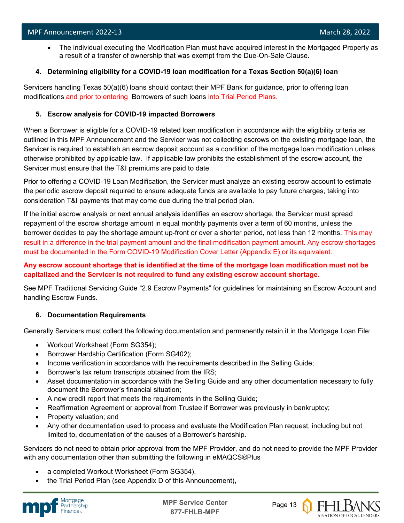• The individual executing the Modification Plan must have acquired interest in the Mortgaged Property as a result of a transfer of ownership that was exempt from the Due-On-Sale Clause.

#### **4. Determining eligibility for a COVID-19 loan modification for a Texas Section 50(a)(6) loan**

Servicers handling Texas 50(a)(6) loans should contact their MPF Bank for guidance, prior to offering loan modifications and prior to entering Borrowers of such loans into Trial Period Plans.

#### **5. Escrow analysis for COVID-19 impacted Borrowers**

When a Borrower is eligible for a COVID-19 related loan modification in accordance with the eligibility criteria as outlined in this MPF Announcement and the Servicer was not collecting escrows on the existing mortgage loan, the Servicer is required to establish an escrow deposit account as a condition of the mortgage loan modification unless otherwise prohibited by applicable law. If applicable law prohibits the establishment of the escrow account, the Servicer must ensure that the T&I premiums are paid to date.

Prior to offering a COVID-19 Loan Modification, the Servicer must analyze an existing escrow account to estimate the periodic escrow deposit required to ensure adequate funds are available to pay future charges, taking into consideration T&I payments that may come due during the trial period plan.

If the initial escrow analysis or next annual analysis identifies an escrow shortage, the Servicer must spread repayment of the escrow shortage amount in equal monthly payments over a term of 60 months, unless the borrower decides to pay the shortage amount up-front or over a shorter period, not less than 12 months. This may result in a difference in the trial payment amount and the final modification payment amount. Any escrow shortages must be documented in the Form COVID-19 Modification Cover Letter (Appendix E) or its equivalent.

#### **Any escrow account shortage that is identified at the time of the mortgage loan modification must not be capitalized and the Servicer is not required to fund any existing escrow account shortage.**

See MPF Traditional Servicing Guide "2.9 Escrow Payments" for guidelines for maintaining an Escrow Account and handling Escrow Funds.

#### **6. Documentation Requirements**

Generally Servicers must collect the following documentation and permanently retain it in the Mortgage Loan File:

- Workout Worksheet (Form SG354);
- Borrower Hardship Certification (Form SG402);
- Income verification in accordance with the requirements described in the Selling Guide;
- Borrower's tax return transcripts obtained from the IRS;
- Asset documentation in accordance with the Selling Guide and any other documentation necessary to fully document the Borrower's financial situation;
- A new credit report that meets the requirements in the Selling Guide;
- Reaffirmation Agreement or approval from Trustee if Borrower was previously in bankruptcy;
- Property valuation; and
- Any other documentation used to process and evaluate the Modification Plan request, including but not limited to, documentation of the causes of a Borrower's hardship.

Servicers do not need to obtain prior approval from the MPF Provider, and do not need to provide the MPF Provider with any documentation other than submitting the following in eMAQCS®Plus

- a completed Workout Worksheet (Form SG354),
- the Trial Period Plan (see Appendix D of this Announcement),



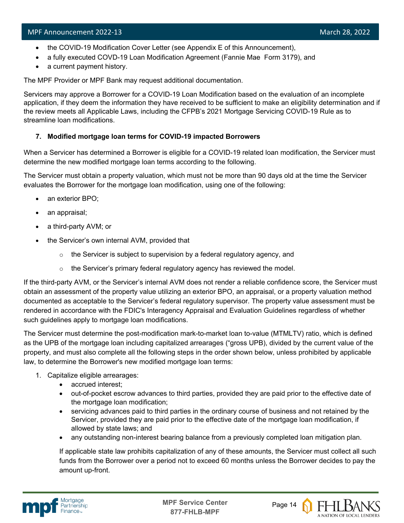- the COVID-19 Modification Cover Letter (see Appendix E of this Announcement),
- a fully executed COVD-19 Loan Modification Agreement (Fannie Mae Form 3179), and
- a current payment history.

The MPF Provider or MPF Bank may request additional documentation.

Servicers may approve a Borrower for a COVID-19 Loan Modification based on the evaluation of an incomplete application, if they deem the information they have received to be sufficient to make an eligibility determination and if the review meets all Applicable Laws, including the CFPB's 2021 Mortgage Servicing COVID-19 Rule as to streamline loan modifications.

#### **7. Modified mortgage loan terms for COVID-19 impacted Borrowers**

When a Servicer has determined a Borrower is eligible for a COVID-19 related loan modification, the Servicer must determine the new modified mortgage loan terms according to the following.

The Servicer must obtain a property valuation, which must not be more than 90 days old at the time the Servicer evaluates the Borrower for the mortgage loan modification, using one of the following:

- an exterior BPO;
- an appraisal;
- a third-party AVM; or
- the Servicer's own internal AVM, provided that
	- $\circ$  the Servicer is subject to supervision by a federal regulatory agency, and
	- $\circ$  the Servicer's primary federal regulatory agency has reviewed the model.

If the third-party AVM, or the Servicer's internal AVM does not render a reliable confidence score, the Servicer must obtain an assessment of the property value utilizing an exterior BPO, an appraisal, or a property valuation method documented as acceptable to the Servicer's federal regulatory supervisor. The property value assessment must be rendered in accordance with the FDIC's Interagency Appraisal and Evaluation Guidelines regardless of whether such guidelines apply to mortgage loan modifications.

The Servicer must determine the post-modification mark-to-market loan to-value (MTMLTV) ratio, which is defined as the UPB of the mortgage loan including capitalized arrearages ("gross UPB), divided by the current value of the property, and must also complete all the following steps in the order shown below, unless prohibited by applicable law, to determine the Borrower's new modified mortgage loan terms:

- 1. Capitalize eligible arrearages:
	- accrued interest;
	- out-of-pocket escrow advances to third parties, provided they are paid prior to the effective date of the mortgage loan modification;
	- servicing advances paid to third parties in the ordinary course of business and not retained by the Servicer, provided they are paid prior to the effective date of the mortgage loan modification, if allowed by state laws; and
	- any outstanding non-interest bearing balance from a previously completed loan mitigation plan.

If applicable state law prohibits capitalization of any of these amounts, the Servicer must collect all such funds from the Borrower over a period not to exceed 60 months unless the Borrower decides to pay the amount up-front.



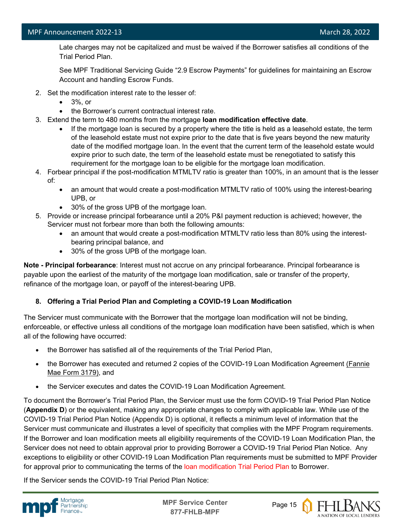Late charges may not be capitalized and must be waived if the Borrower satisfies all conditions of the Trial Period Plan.

See MPF Traditional Servicing Guide "2.9 Escrow Payments" for guidelines for maintaining an Escrow Account and handling Escrow Funds.

- 2. Set the modification interest rate to the lesser of:
	- 3%, or
	- the Borrower's current contractual interest rate.
- 3. Extend the term to 480 months from the mortgage **loan modification effective date**.
	- If the mortgage loan is secured by a property where the title is held as a leasehold estate, the term of the leasehold estate must not expire prior to the date that is five years beyond the new maturity date of the modified mortgage loan. In the event that the current term of the leasehold estate would expire prior to such date, the term of the leasehold estate must be renegotiated to satisfy this requirement for the mortgage loan to be eligible for the mortgage loan modification.
- 4. Forbear principal if the post-modification MTMLTV ratio is greater than 100%, in an amount that is the lesser of:
	- an amount that would create a post-modification MTMLTV ratio of 100% using the interest-bearing UPB, or
	- 30% of the gross UPB of the mortgage loan.
- 5. Provide or increase principal forbearance until a 20% P&I payment reduction is achieved; however, the Servicer must not forbear more than both the following amounts:
	- an amount that would create a post-modification MTMLTV ratio less than 80% using the interestbearing principal balance, and
	- 30% of the gross UPB of the mortgage loan.

**Note - Principal forbearance**: Interest must not accrue on any principal forbearance. Principal forbearance is payable upon the earliest of the maturity of the mortgage loan modification, sale or transfer of the property, refinance of the mortgage loan, or payoff of the interest-bearing UPB.

#### **8. Offering a Trial Period Plan and Completing a COVID-19 Loan Modification**

The Servicer must communicate with the Borrower that the mortgage loan modification will not be binding, enforceable, or effective unless all conditions of the mortgage loan modification have been satisfied, which is when all of the following have occurred:

- the Borrower has satisfied all of the requirements of the Trial Period Plan,
- the Borrower has executed and returned 2 copies of the COVID-19 Loan Modification Agreement [\(Fannie](https://singlefamily.fanniemae.com/media/document/pdf/loan-modification-agreement-form-3179-pdf)  [Mae Form 3179\),](https://singlefamily.fanniemae.com/media/document/pdf/loan-modification-agreement-form-3179-pdf) and
- the Servicer executes and dates the COVID-19 Loan Modification Agreement.

To document the Borrower's Trial Period Plan, the Servicer must use the form COVID-19 Trial Period Plan Notice (**Appendix D**) or the equivalent, making any appropriate changes to comply with applicable law. While use of the COVID-19 Trial Period Plan Notice (Appendix D) is optional, it reflects a minimum level of information that the Servicer must communicate and illustrates a level of specificity that complies with the MPF Program requirements. If the Borrower and loan modification meets all eligibility requirements of the COVID-19 Loan Modification Plan, the Servicer does not need to obtain approval prior to providing Borrower a COVID-19 Trial Period Plan Notice. Any exceptions to eligibility or other COVID-19 Loan Modification Plan requirements must be submitted to MPF Provider for approval prior to communicating the terms of the loan modification Trial Period Plan to Borrower.

If the Servicer sends the COVID-19 Trial Period Plan Notice:



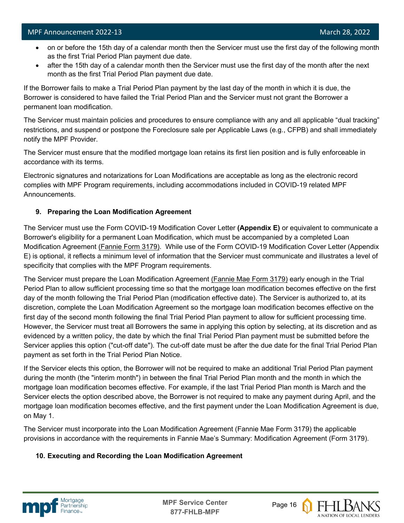- on or before the 15th day of a calendar month then the Servicer must use the first day of the following month as the first Trial Period Plan payment due date.
- after the 15th day of a calendar month then the Servicer must use the first day of the month after the next month as the first Trial Period Plan payment due date.

If the Borrower fails to make a Trial Period Plan payment by the last day of the month in which it is due, the Borrower is considered to have failed the Trial Period Plan and the Servicer must not grant the Borrower a permanent loan modification.

The Servicer must maintain policies and procedures to ensure compliance with any and all applicable "dual tracking" restrictions, and suspend or postpone the Foreclosure sale per Applicable Laws (e.g., CFPB) and shall immediately notify the MPF Provider.

The Servicer must ensure that the modified mortgage loan retains its first lien position and is fully enforceable in accordance with its terms.

Electronic signatures and notarizations for Loan Modifications are acceptable as long as the electronic record complies with MPF Program requirements, including accommodations included in COVID-19 related MPF Announcements.

#### **9. Preparing the Loan Modification Agreement**

The Servicer must use the Form COVID-19 Modification Cover Letter **(Appendix E)** or equivalent to communicate a Borrower's eligibility for a permanent Loan Modification, which must be accompanied by a completed Loan Modification Agreement [\(Fannie Form 3179\).](https://singlefamily.fanniemae.com/media/document/pdf/loan-modification-agreement-form-3179-pdf) While use of the Form COVID-19 Modification Cover Letter (Appendix E) is optional, it reflects a minimum level of information that the Servicer must communicate and illustrates a level of specificity that complies with the MPF Program requirements.

The Servicer must prepare the Loan Modification Agreement [\(Fannie Mae Form 3179\)](https://singlefamily.fanniemae.com/media/document/pdf/loan-modification-agreement-form-3179-pdf) early enough in the Trial Period Plan to allow sufficient processing time so that the mortgage loan modification becomes effective on the first day of the month following the Trial Period Plan (modification effective date). The Servicer is authorized to, at its discretion, complete the Loan Modification Agreement so the mortgage loan modification becomes effective on the first day of the second month following the final Trial Period Plan payment to allow for sufficient processing time. However, the Servicer must treat all Borrowers the same in applying this option by selecting, at its discretion and as evidenced by a written policy, the date by which the final Trial Period Plan payment must be submitted before the Servicer applies this option ("cut-off date"). The cut-off date must be after the due date for the final Trial Period Plan payment as set forth in the Trial Period Plan Notice.

If the Servicer elects this option, the Borrower will not be required to make an additional Trial Period Plan payment during the month (the "interim month") in between the final Trial Period Plan month and the month in which the mortgage loan modification becomes effective. For example, if the last Trial Period Plan month is March and the Servicer elects the option described above, the Borrower is not required to make any payment during April, and the mortgage loan modification becomes effective, and the first payment under the Loan Modification Agreement is due, on May 1.

The Servicer must incorporate into the Loan Modification Agreement (Fannie Mae Form 3179) the applicable provisions in accordance with the requirements in Fannie Mae's Summary: Modification Agreement (Form 3179).

#### **10. Executing and Recording the Loan Modification Agreement**



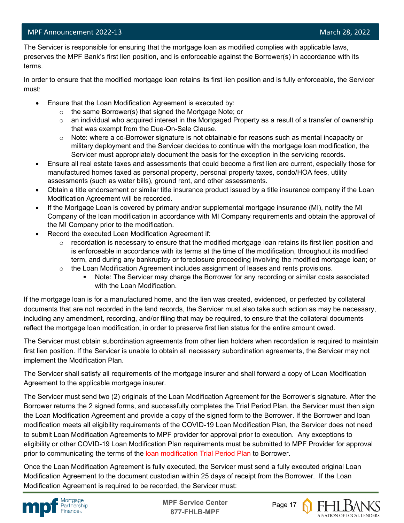#### MPF Announcement 2022-13 and 2002-13 and 2002 and 2008 and 2008 and 2008 and 2008 and 2008 and 2008 and 2008 and 2008 and 2008 and 2008 and 2008 and 2008 and 2008 and 2008 and 2008 and 2008 and 2008 and 2008 and 2008 and 2

l The Servicer is responsible for ensuring that the mortgage loan as modified complies with applicable laws, preserves the MPF Bank's first lien position, and is enforceable against the Borrower(s) in accordance with its terms.

In order to ensure that the modified mortgage loan retains its first lien position and is fully enforceable, the Servicer must:

- Ensure that the Loan Modification Agreement is executed by:
	- o the same Borrower(s) that signed the Mortgage Note; or
	- $\circ$  an individual who acquired interest in the Mortgaged Property as a result of a transfer of ownership that was exempt from the Due-On-Sale Clause.
	- $\circ$  Note: where a co-Borrower signature is not obtainable for reasons such as mental incapacity or military deployment and the Servicer decides to continue with the mortgage loan modification, the Servicer must appropriately document the basis for the exception in the servicing records.
- Ensure all real estate taxes and assessments that could become a first lien are current, especially those for manufactured homes taxed as personal property, personal property taxes, condo/HOA fees, utility assessments (such as water bills), ground rent, and other assessments.
- Obtain a title endorsement or similar title insurance product issued by a title insurance company if the Loan Modification Agreement will be recorded.
- If the Mortgage Loan is covered by primary and/or supplemental mortgage insurance (MI), notify the MI Company of the loan modification in accordance with MI Company requirements and obtain the approval of the MI Company prior to the modification.
- Record the executed Loan Modification Agreement if:
	- $\circ$  recordation is necessary to ensure that the modified mortgage loan retains its first lien position and is enforceable in accordance with its terms at the time of the modification, throughout its modified term, and during any bankruptcy or foreclosure proceeding involving the modified mortgage loan; or
	- $\circ$  the Loan Modification Agreement includes assignment of leases and rents provisions.
		- Note: The Servicer may charge the Borrower for any recording or similar costs associated with the Loan Modification.

If the mortgage loan is for a manufactured home, and the lien was created, evidenced, or perfected by collateral documents that are not recorded in the land records, the Servicer must also take such action as may be necessary, including any amendment, recording, and/or filing that may be required, to ensure that the collateral documents reflect the mortgage loan modification, in order to preserve first lien status for the entire amount owed.

The Servicer must obtain subordination agreements from other lien holders when recordation is required to maintain first lien position. If the Servicer is unable to obtain all necessary subordination agreements, the Servicer may not implement the Modification Plan.

The Servicer shall satisfy all requirements of the mortgage insurer and shall forward a copy of Loan Modification Agreement to the applicable mortgage insurer.

The Servicer must send two (2) originals of the Loan Modification Agreement for the Borrower's signature. After the Borrower returns the 2 signed forms, and successfully completes the Trial Period Plan, the Servicer must then sign the Loan Modification Agreement and provide a copy of the signed form to the Borrower. If the Borrower and loan modification meets all eligibility requirements of the COVID-19 Loan Modification Plan, the Servicer does not need to submit Loan Modification Agreements to MPF provider for approval prior to execution. Any exceptions to eligibility or other COVID-19 Loan Modification Plan requirements must be submitted to MPF Provider for approval prior to communicating the terms of the loan modification Trial Period Plan to Borrower.

Once the Loan Modification Agreement is fully executed, the Servicer must send a fully executed original Loan Modification Agreement to the document custodian within 25 days of receipt from the Borrower. If the Loan Modification Agreement is required to be recorded, the Servicer must:



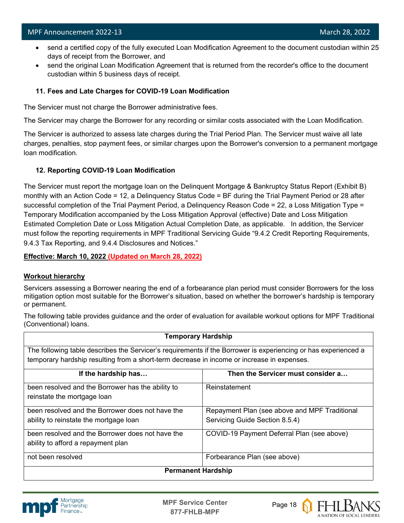- send a certified copy of the fully executed Loan Modification Agreement to the document custodian within 25 days of receipt from the Borrower, and
- send the original Loan Modification Agreement that is returned from the recorder's office to the document custodian within 5 business days of receipt.

#### **11. Fees and Late Charges for COVID-19 Loan Modification**

The Servicer must not charge the Borrower administrative fees.

The Servicer may charge the Borrower for any recording or similar costs associated with the Loan Modification.

The Servicer is authorized to assess late charges during the Trial Period Plan. The Servicer must waive all late charges, penalties, stop payment fees, or similar charges upon the Borrower's conversion to a permanent mortgage loan modification.

#### **12. Reporting COVID-19 Loan Modification**

The Servicer must report the mortgage loan on the Delinquent Mortgage & Bankruptcy Status Report (Exhibit B) monthly with an Action Code = 12, a Delinquency Status Code = BF during the Trial Payment Period or 28 after successful completion of the Trial Payment Period, a Delinquency Reason Code = 22, a Loss Mitigation Type = Temporary Modification accompanied by the Loss Mitigation Approval (effective) Date and Loss Mitigation Estimated Completion Date or Loss Mitigation Actual Completion Date, as applicable. In addition, the Servicer must follow the reporting requirements in MPF Traditional Servicing Guide "9.4.2 Credit Reporting Requirements, 9.4.3 Tax Reporting, and 9.4.4 Disclosures and Notices."

**Effective: March 10, 2022 (Updated on March 28, 2022)**

#### **Workout hierarchy**

Servicers assessing a Borrower nearing the end of a forbearance plan period must consider Borrowers for the loss mitigation option most suitable for the Borrower's situation, based on whether the borrower's hardship is temporary or permanent.

The following table provides guidance and the order of evaluation for available workout options for MPF Traditional (Conventional) loans.

| <b>Temporary Hardship</b>                                                                                      |                                               |  |
|----------------------------------------------------------------------------------------------------------------|-----------------------------------------------|--|
| The following table describes the Servicer's requirements if the Borrower is experiencing or has experienced a |                                               |  |
| temporary hardship resulting from a short-term decrease in income or increase in expenses.                     |                                               |  |
| If the hardship has                                                                                            | Then the Servicer must consider a             |  |
| been resolved and the Borrower has the ability to                                                              | Reinstatement                                 |  |
| reinstate the mortgage loan                                                                                    |                                               |  |
| been resolved and the Borrower does not have the                                                               | Repayment Plan (see above and MPF Traditional |  |
| ability to reinstate the mortgage loan                                                                         | Servicing Guide Section 8.5.4)                |  |
| been resolved and the Borrower does not have the                                                               | COVID-19 Payment Deferral Plan (see above)    |  |
| ability to afford a repayment plan                                                                             |                                               |  |
| not been resolved                                                                                              | Forbearance Plan (see above)                  |  |
| <b>Permanent Hardship</b>                                                                                      |                                               |  |



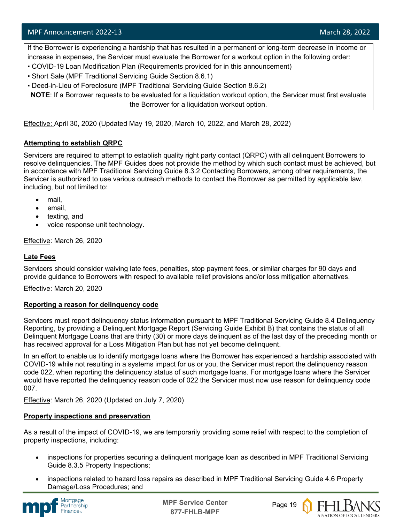If the Borrower is experiencing a hardship that has resulted in a permanent or long-term decrease in income or increase in expenses, the Servicer must evaluate the Borrower for a workout option in the following order:

- COVID-19 Loan Modification Plan (Requirements provided for in this announcement)
- Short Sale (MPF Traditional Servicing Guide Section 8.6.1)
- Deed-in-Lieu of Foreclosure (MPF Traditional Servicing Guide Section 8.6.2)

**NOTE**: If a Borrower requests to be evaluated for a liquidation workout option, the Servicer must first evaluate the Borrower for a liquidation workout option.

Effective: April 30, 2020 (Updated May 19, 2020, March 10, 2022, and March 28, 2022)

#### **Attempting to establish QRPC**

Servicers are required to attempt to establish quality right party contact (QRPC) with all delinquent Borrowers to resolve delinquencies. The MPF Guides does not provide the method by which such contact must be achieved, but in accordance with MPF Traditional Servicing Guide 8.3.2 Contacting Borrowers, among other requirements, the Servicer is authorized to use various outreach methods to contact the Borrower as permitted by applicable law, including, but not limited to:

- mail,
- email,
- texting, and
- voice response unit technology.

Effective: March 26, 2020

#### **Late Fees**

Servicers should consider waiving late fees, penalties, stop payment fees, or similar charges for 90 days and provide guidance to Borrowers with respect to available relief provisions and/or loss mitigation alternatives.

Effective: March 20, 2020

#### **Reporting a reason for delinquency code**

Servicers must report delinquency status information pursuant to MPF Traditional Servicing Guide 8.4 Delinquency Reporting, by providing a Delinquent Mortgage Report (Servicing Guide Exhibit B) that contains the status of all Delinquent Mortgage Loans that are thirty (30) or more days delinquent as of the last day of the preceding month or has received approval for a Loss Mitigation Plan but has not yet become delinquent.

In an effort to enable us to identify mortgage loans where the Borrower has experienced a hardship associated with COVID-19 while not resulting in a systems impact for us or you, the Servicer must report the delinquency reason code 022, when reporting the delinquency status of such mortgage loans. For mortgage loans where the Servicer would have reported the delinquency reason code of 022 the Servicer must now use reason for delinquency code 007.

Effective: March 26, 2020 (Updated on July 7, 2020)

#### **Property inspections and preservation**

As a result of the impact of COVID-19, we are temporarily providing some relief with respect to the completion of property inspections, including:

- inspections for properties securing a delinquent mortgage loan as described in MPF Traditional Servicing Guide 8.3.5 Property Inspections;
- inspections related to hazard loss repairs as described in MPF Traditional Servicing Guide 4.6 Property Damage/Loss Procedures; and



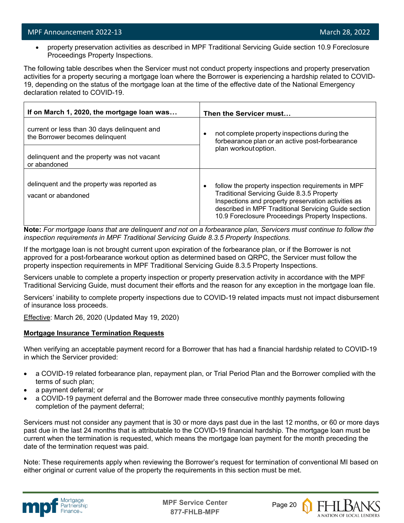• property preservation activities as described in MPF Traditional Servicing Guide section 10.9 Foreclosure Proceedings Property Inspections.

The following table describes when the Servicer must not conduct property inspections and property preservation activities for a property securing a mortgage loan where the Borrower is experiencing a hardship related to COVID-19, depending on the status of the mortgage loan at the time of the effective date of the National Emergency declaration related to COVID-19.

| If on March 1, 2020, the mortgage loan was                                     | Then the Servicer must                                                                                                                                                                                                                                                     |
|--------------------------------------------------------------------------------|----------------------------------------------------------------------------------------------------------------------------------------------------------------------------------------------------------------------------------------------------------------------------|
| current or less than 30 days delinquent and<br>the Borrower becomes delinquent | not complete property inspections during the<br>٠<br>forbearance plan or an active post-forbearance                                                                                                                                                                        |
| delinquent and the property was not vacant<br>or abandoned                     | plan workout option.                                                                                                                                                                                                                                                       |
| delinquent and the property was reported as<br>vacant or abandoned             | follow the property inspection requirements in MPF<br>٠<br>Traditional Servicing Guide 8.3.5 Property<br>Inspections and property preservation activities as<br>described in MPF Traditional Servicing Guide section<br>10.9 Foreclosure Proceedings Property Inspections. |

**Note:** *For mortgage loans that are delinquent and not on a forbearance plan, Servicers must continue to follow the inspection requirements in MPF Traditional Servicing Guide 8.3.5 Property Inspections.*

If the mortgage loan is not brought current upon expiration of the forbearance plan, or if the Borrower is not approved for a post-forbearance workout option as determined based on QRPC, the Servicer must follow the property inspection requirements in MPF Traditional Servicing Guide 8.3.5 Property Inspections.

Servicers unable to complete a property inspection or property preservation activity in accordance with the MPF Traditional Servicing Guide, must document their efforts and the reason for any exception in the mortgage loan file.

Servicers' inability to complete property inspections due to COVID-19 related impacts must not impact disbursement of insurance loss proceeds.

Effective: March 26, 2020 (Updated May 19, 2020)

#### **Mortgage Insurance Termination Requests**

When verifying an acceptable payment record for a Borrower that has had a financial hardship related to COVID-19 in which the Servicer provided:

- a COVID-19 related forbearance plan, repayment plan, or Trial Period Plan and the Borrower complied with the terms of such plan;
- a payment deferral; or
- a COVID-19 payment deferral and the Borrower made three consecutive monthly payments following completion of the payment deferral;

Servicers must not consider any payment that is 30 or more days past due in the last 12 months, or 60 or more days past due in the last 24 months that is attributable to the COVID-19 financial hardship. The mortgage loan must be current when the termination is requested, which means the mortgage loan payment for the month preceding the date of the termination request was paid.

Note: These requirements apply when reviewing the Borrower's request for termination of conventional MI based on either original or current value of the property the requirements in this section must be met.



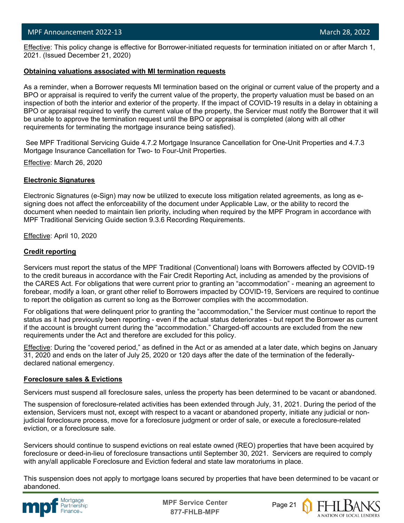l Effective: This policy change is effective for Borrower-initiated requests for termination initiated on or after March 1, 2021. (Issued December 21, 2020)

#### **Obtaining valuations associated with MI termination requests**

As a reminder, when a Borrower requests MI termination based on the original or current value of the property and a BPO or appraisal is required to verify the current value of the property, the property valuation must be based on an inspection of both the interior and exterior of the property. If the impact of COVID-19 results in a delay in obtaining a BPO or appraisal required to verify the current value of the property, the Servicer must notify the Borrower that it will be unable to approve the termination request until the BPO or appraisal is completed (along with all other requirements for terminating the mortgage insurance being satisfied).

See MPF Traditional Servicing Guide 4.7.2 Mortgage Insurance Cancellation for One-Unit Properties and 4.7.3 Mortgage Insurance Cancellation for Two- to Four-Unit Properties.

Effective: March 26, 2020

#### **Electronic Signatures**

Electronic Signatures (e-Sign) may now be utilized to execute loss mitigation related agreements, as long as esigning does not affect the enforceability of the document under Applicable Law, or the ability to record the document when needed to maintain lien priority, including when required by the MPF Program in accordance with MPF Traditional Servicing Guide section 9.3.6 Recording Requirements.

Effective: April 10, 2020

#### **Credit reporting**

Servicers must report the status of the MPF Traditional (Conventional) loans with Borrowers affected by COVID-19 to the credit bureaus in accordance with the Fair Credit Reporting Act, including as amended by the provisions of the CARES Act. For obligations that were current prior to granting an "accommodation" - meaning an agreement to forebear, modify a loan, or grant other relief to Borrowers impacted by COVID-19, Servicers are required to continue to report the obligation as current so long as the Borrower complies with the accommodation.

For obligations that were delinquent prior to granting the "accommodation," the Servicer must continue to report the status as it had previously been reporting - even if the actual status deteriorates - but report the Borrower as current if the account is brought current during the "accommodation." Charged-off accounts are excluded from the new requirements under the Act and therefore are excluded for this policy.

Effective: During the "covered period," as defined in the Act or as amended at a later date, which begins on January 31, 2020 and ends on the later of July 25, 2020 or 120 days after the date of the termination of the federallydeclared national emergency.

#### **Foreclosure sales & Evictions**

Servicers must suspend all foreclosure sales, unless the property has been determined to be vacant or abandoned.

The suspension of foreclosure-related activities has been extended through July, 31, 2021. During the period of the extension, Servicers must not, except with respect to a vacant or abandoned property, initiate any judicial or nonjudicial foreclosure process, move for a foreclosure judgment or order of sale, or execute a foreclosure-related eviction, or a foreclosure sale.

Servicers should continue to suspend evictions on real estate owned (REO) properties that have been acquired by foreclosure or deed-in-lieu of foreclosure transactions until September 30, 2021. Servicers are required to comply with any/all applicable Foreclosure and Eviction federal and state law moratoriums in place.

This suspension does not apply to mortgage loans secured by properties that have been determined to be vacant or abandoned.



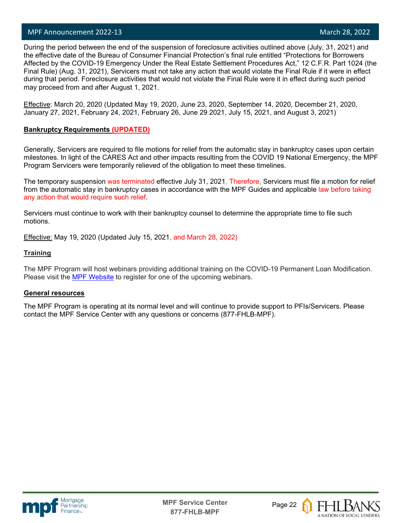l

 During the period between the end of the suspension of foreclosure activities outlined above (July, 31, 2021) and the effective date of the Bureau of Consumer Financial Protection's final rule entitled "Protections for Borrowers Affected by the COVID-19 Emergency Under the Real Estate Settlement Procedures Act," 12 C.F.R. Part 1024 (the Final Rule) (Aug. 31, 2021), Servicers must not take any action that would violate the Final Rule if it were in effect during that period. Foreclosure activities that would not violate the Final Rule were it in effect during such period may proceed from and after August 1, 2021.

Effective: March 20, 2020 (Updated May 19, 2020, June 23, 2020, September 14, 2020, December 21, 2020, January 27, 2021, February 24, 2021, February 26, June 29 2021, July 15, 2021, and August 3, 2021)

#### **Bankruptcy Requirements (UPDATED)**

Generally, Servicers are required to file motions for relief from the automatic stay in bankruptcy cases upon certain milestones. In light of the CARES Act and other impacts resulting from the COVID 19 National Emergency, the MPF Program Servicers were temporarily relieved of the obligation to meet these timelines.

The temporary suspension was terminated effective July 31, 2021. Therefore, Servicers must file a motion for relief from the automatic stay in bankruptcy cases in accordance with the MPF Guides and applicable law before taking any action that would require such relief.

Servicers must continue to work with their bankruptcy counsel to determine the appropriate time to file such motions.

Effective: May 19, 2020 (Updated July 15, 2021, and March 28, 2022)

#### **Training**

The MPF Program will host webinars providing additional training on the COVID-19 Permanent Loan Modification. Please visit the [MPF Website](https://www.fhlbmpf.com/education/upcoming-webinars) to register for one of the upcoming webinars.

#### **General resources**

The MPF Program is operating at its normal level and will continue to provide support to PFIs/Servicers. Please contact the MPF Service Center with any questions or concerns (877-FHLB-MPF).





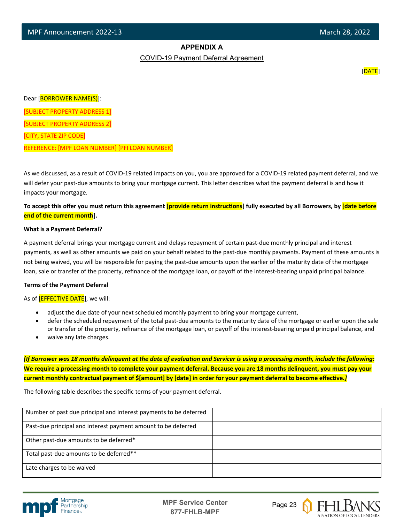#### **APPENDIX A**

COVID-19 Payment Deferral Agreement

[DATE]

Dear [BORROWER NAME(S)]:

[SUBJECT PROPERTY ADDRESS 1]

[SUBJECT PROPERTY ADDRESS 2]

[CITY, STATE ZIP CODE]

l

REFERENCE: [MPF LOAN NUMBER] [PFI LOAN NUMBER]

As we discussed, as a result of COVID-19 related impacts on you, you are approved for a COVID-19 related payment deferral, and we will defer your past-due amounts to bring your mortgage current. This letter describes what the payment deferral is and how it impacts your mortgage.

To accept this offer you must return this agreement **[provide return instructions**] fully executed by all Borrowers, by *date before* **end of the current month].**

#### **What is a Payment Deferral?**

A payment deferral brings your mortgage current and delays repayment of certain past-due monthly principal and interest payments, as well as other amounts we paid on your behalf related to the past-due monthly payments. Payment of these amounts is not being waived, you will be responsible for paying the past-due amounts upon the earlier of the maturity date of the mortgage loan, sale or transfer of the property, refinance of the mortgage loan, or payoff of the interest-bearing unpaid principal balance.

#### **Terms of the Payment Deferral**

As of **[EFFECTIVE DATE**], we will:

- adjust the due date of your next scheduled monthly payment to bring your mortgage current,
- defer the scheduled repayment of the total past-due amounts to the maturity date of the mortgage or earlier upon the sale or transfer of the property, refinance of the mortgage loan, or payoff of the interest-bearing unpaid principal balance, and
- waive any late charges.

*[If Borrower was 18 months delinquent at the date of evaluation and Servicer is using a processing month, include the following:* **We require a processing month to complete your payment deferral. Because you are 18 months delinquent, you must pay your**  current monthly contractual payment of \$[amount] by [date] in order for your payment deferral to become effective.*]* 

The following table describes the specific terms of your payment deferral.

| Number of past due principal and interest payments to be deferred |  |
|-------------------------------------------------------------------|--|
| Past-due principal and interest payment amount to be deferred     |  |
| Other past-due amounts to be deferred*                            |  |
| Total past-due amounts to be deferred**                           |  |
| Late charges to be waived                                         |  |



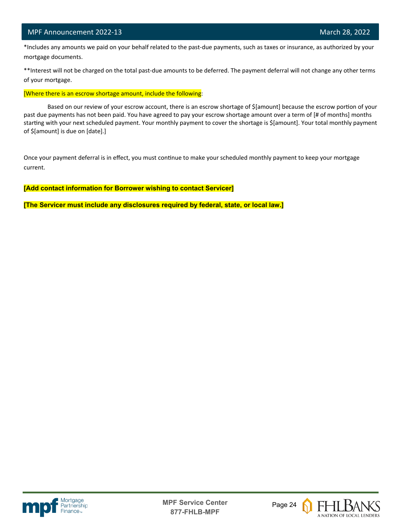#### MPF Announcement 2022-13 and 2002-13 March 28, 2022

l

 \*Includes any amounts we paid on your behalf related to the past-due payments, such as taxes or insurance, as authorized by your mortgage documents.

\*\*Interest will not be charged on the total past-due amounts to be deferred. The payment deferral will not change any other terms of your mortgage.

[Where there is an escrow shortage amount, include the following:

Based on our review of your escrow account, there is an escrow shortage of \$[amount] because the escrow portion of your past due payments has not been paid. You have agreed to pay your escrow shortage amount over a term of [# of months] months starting with your next scheduled payment. Your monthly payment to cover the shortage is \$[amount]. Your total monthly payment of \$[amount] is due on [date].]

Once your payment deferral is in effect, you must continue to make your scheduled monthly payment to keep your mortgage current.

**[Add contact information for Borrower wishing to contact Servicer]**

**[The Servicer must include any disclosures required by federal, state, or local law.]**





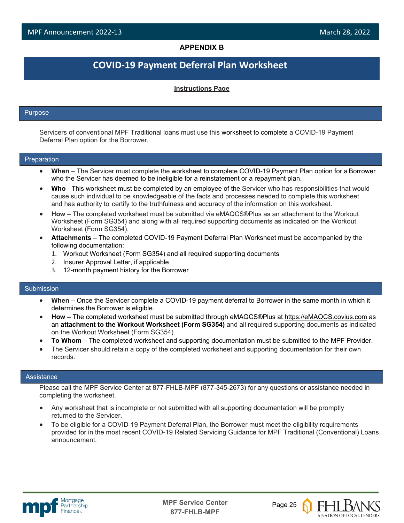#### **APPENDIX B**

### **COVID-19 Payment Deferral Plan Worksheet**

#### **Instructions Page**

#### Purpose

l

Servicers of conventional MPF Traditional loans must use this worksheet to complete a COVID-19 Payment Deferral Plan option for the Borrower.

#### Preparation

- **When**  The Servicer must complete the worksheet to complete COVID-19 Payment Plan option for a Borrower who the Servicer has deemed to be ineligible for a reinstatement or a repayment plan.
- **Who**  This worksheet must be completed by an employee of the Servicer who has responsibilities that would cause such individual to be knowledgeable of the facts and processes needed to complete this worksheet and has authority to certify to the truthfulness and accuracy of the information on this worksheet.
- **How**  The completed worksheet must be submitted via eMAQCS®Plus as an attachment to the Workout Worksheet (Form SG354) and along with all required supporting documents as indicated on the Workout Worksheet (Form SG354).
- **Attachments**  The completed COVID-19 Payment Deferral Plan Worksheet must be accompanied by the following documentation:
	- 1. Workout Worksheet (Form SG354) and all required supporting documents
	- 2. Insurer Approval Letter, if applicable
	- 3. 12-month payment history for the Borrower

#### Submission

- **When**  Once the Servicer complete a COVID-19 payment deferral to Borrower in the same month in which it determines the Borrower is eligible.
- **How**  The completed worksheet must be submitted through eMAQCS®Plus at [https://eMAQCS.covius.com](https://emaqcs.covius.com/) as an **attachment to the Workout Worksheet (Form SG354)** and all required supporting documents as indicated on the Workout Worksheet (Form SG354).
- **To Whom**  The completed worksheet and supporting documentation must be submitted to the MPF Provider.
- The Servicer should retain a copy of the completed worksheet and supporting documentation for their own records.

#### **Assistance**

Please call the MPF Service Center at 877-FHLB-MPF (877-345-2673) for any questions or assistance needed in completing the worksheet.

- Any worksheet that is incomplete or not submitted with all supporting documentation will be promptly returned to the Servicer.
- To be eligible for a COVID-19 Payment Deferral Plan, the Borrower must meet the eligibility requirements provided for in the most recent COVID-19 Related Servicing Guidance for MPF Traditional (Conventional) Loans announcement.



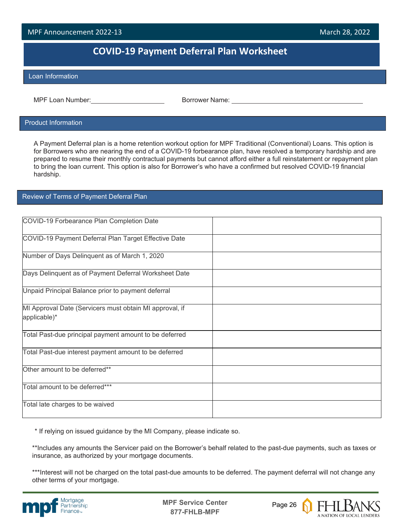#### **COVID-19 Payment Deferral Plan Worksheet**

#### Loan Information

l

MPF Loan Number:  $\blacksquare$  Borrower Name:

#### Product Information

A Payment Deferral plan is a home retention workout option for MPF Traditional (Conventional) Loans. This option is for Borrowers who are nearing the end of a COVID-19 forbearance plan, have resolved a temporary hardship and are prepared to resume their monthly contractual payments but cannot afford either a full reinstatement or repayment plan to bring the loan current. This option is also for Borrower's who have a confirmed but resolved COVID-19 financial hardship.

#### Review of Terms of Payment Deferral Plan

| COVID-19 Forbearance Plan Completion Date               |  |
|---------------------------------------------------------|--|
| COVID-19 Payment Deferral Plan Target Effective Date    |  |
| Number of Days Delinquent as of March 1, 2020           |  |
| Days Delinquent as of Payment Deferral Worksheet Date   |  |
| Unpaid Principal Balance prior to payment deferral      |  |
| MI Approval Date (Servicers must obtain MI approval, if |  |
| applicable)*                                            |  |
| Total Past-due principal payment amount to be deferred  |  |
| Total Past-due interest payment amount to be deferred   |  |
| Other amount to be deferred**                           |  |
| Total amount to be deferred***                          |  |
| Total late charges to be waived                         |  |

\* If relying on issued guidance by the MI Company, please indicate so.

\*\*Includes any amounts the Servicer paid on the Borrower's behalf related to the past-due payments, such as taxes or insurance, as authorized by your mortgage documents.

\*\*\*Interest will not be charged on the total past-due amounts to be deferred. The payment deferral will not change any other terms of your mortgage.



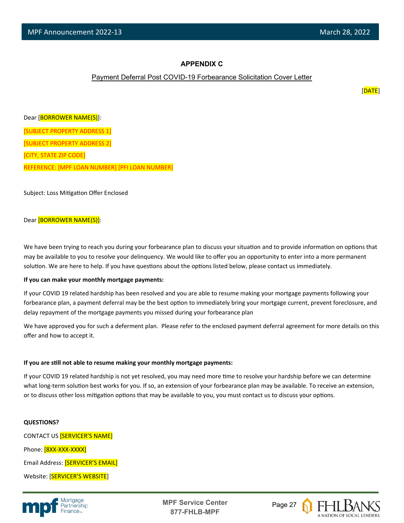#### **APPENDIX C**

#### Payment Deferral Post COVID-19 Forbearance Solicitation Cover Letter

[DATE]

Dear [BORROWER NAME(S)]: [SUBJECT PROPERTY ADDRESS 1] [SUBJECT PROPERTY ADDRESS 2] [CITY, STATE ZIP CODE] REFERENCE: [MPF LOAN NUMBER] [PFI LOAN NUMBER]

Subject: Loss Mitigation Offer Enclosed

#### Dear [BORROWER NAME(S)]:

We have been trying to reach you during your forbearance plan to discuss your situation and to provide information on options that may be available to you to resolve your delinquency. We would like to offer you an opportunity to enter into a more permanent solution. We are here to help. If you have questions about the options listed below, please contact us immediately.

#### **If you can make your monthly mortgage payments:**

If your COVID 19 related hardship has been resolved and you are able to resume making your mortgage payments following your forbearance plan, a payment deferral may be the best option to immediately bring your mortgage current, prevent foreclosure, and delay repayment of the mortgage payments you missed during your forbearance plan

We have approved you for such a deferment plan. Please refer to the enclosed payment deferral agreement for more details on this offer and how to accept it.

#### **If you are s�ll not able to resume making your monthly mortgage payments:**

If your COVID 19 related hardship is not yet resolved, you may need more time to resolve your hardship before we can determine what long-term solution best works for you. If so, an extension of your forbearance plan may be available. To receive an extension, or to discuss other loss mitigation options that may be available to you, you must contact us to discuss your options.

#### **QUESTIONS?**

CONTACT US [SERVICER'S NAME] Phone: [8XX-XXX-XXXX] Email Address: [SERVICER'S EMAIL] Website: [SERVICER'S WEBSITE]



**MPF Service Center** Page 27 **877-FHLB-MPF**

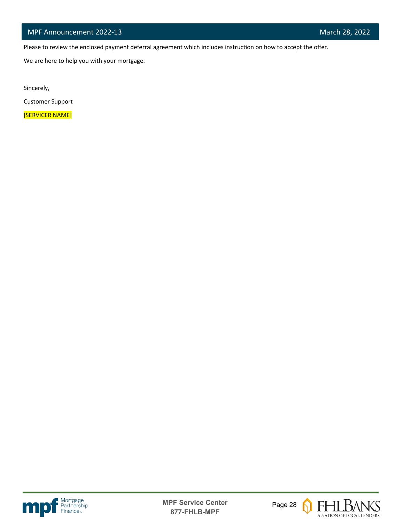Please to review the enclosed payment deferral agreement which includes instruction on how to accept the offer.

We are here to help you with your mortgage.

Sincerely,

l

Customer Support

[SERVICER NAME]





 $\boldsymbol{\Omega}$ 

**FHLBANS** A NATION OF LOCAL LENDERS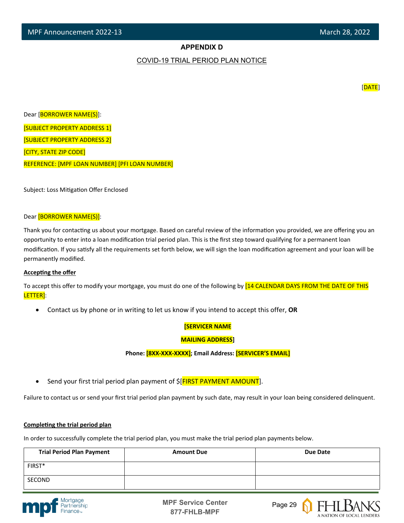#### **APPENDIX D**

#### COVID-19 TRIAL PERIOD PLAN NOTICE

[DATE]

Dear [BORROWER NAME(S)]: [SUBJECT PROPERTY ADDRESS 1] [SUBJECT PROPERTY ADDRESS 2] [CITY, STATE ZIP CODE] REFERENCE: [MPF LOAN NUMBER] [PFI LOAN NUMBER]

Subject: Loss Mitigation Offer Enclosed

#### Dear [BORROWER NAME(S)]:

Thank you for contacting us about your mortgage. Based on careful review of the information you provided, we are offering you an opportunity to enter into a loan modification trial period plan. This is the first step toward qualifying for a permanent loan modification. If you satisfy all the requirements set forth below, we will sign the loan modification agreement and your loan will be permanently modified.

#### **Accepting the offer**

To accept this offer to modify your mortgage, you must do one of the following by [14 CALENDAR DAYS FROM THE DATE OF THIS LETTER]:

• Contact us by phone or in writing to let us know if you intend to accept this offer, **OR**

#### **[SERVICER NAME**

#### **MAILING ADDRESS]**

**Phone: [8XX-XXX-XXXX]; Email Address: [SERVICER'S EMAIL]**

Send your first trial period plan payment of  $\frac{1}{2}$  FIRST PAYMENT AMOUNT].

Failure to contact us or send your first trial period plan payment by such date, may result in your loan being considered delinquent.

#### **Completing the trial period plan**

In order to successfully complete the trial period plan, you must make the trial period plan payments below.

| <b>Trial Period Plan Payment</b> | <b>Amount Due</b> | Due Date |
|----------------------------------|-------------------|----------|
| FIRST*                           |                   |          |
| SECOND                           |                   |          |





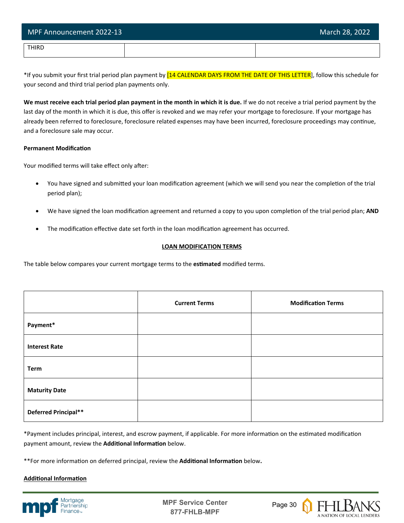| MPF Announcement 2022-13 | March 28, 2022 |
|--------------------------|----------------|
| <b>THIRD</b>             |                |

\*If you submit your first trial period plan payment by [14 CALENDAR DAYS FROM THE DATE OF THIS LETTER], follow this schedule for your second and third trial period plan payments only.

**We must receive each trial period plan payment in the month in which it is due.** If we do not receive a trial period payment by the last day of the month in which it is due, this offer is revoked and we may refer your mortgage to foreclosure. If your mortgage has already been referred to foreclosure, foreclosure related expenses may have been incurred, foreclosure proceedings may continue, and a foreclosure sale may occur.

#### **Permanent Modification**

Your modified terms will take effect only after:

- You have signed and submitted your loan modification agreement (which we will send you near the completion of the trial period plan);
- We have signed the loan modification agreement and returned a copy to you upon completion of the trial period plan; AND
- The modification effective date set forth in the loan modification agreement has occurred.

#### **LOAN MODIFICATION TERMS**

The table below compares your current mortgage terms to the **es�mated** modified terms.

|                      | <b>Current Terms</b> | <b>Modification Terms</b> |
|----------------------|----------------------|---------------------------|
| Payment*             |                      |                           |
| <b>Interest Rate</b> |                      |                           |
| <b>Term</b>          |                      |                           |
| <b>Maturity Date</b> |                      |                           |
| Deferred Principal** |                      |                           |

\*Payment includes principal, interest, and escrow payment, if applicable. For more information on the estimated modification payment amount, review the **Additional Information** below.

\*\*For more information on deferred principal, review the **Additional Information** below.

#### **Additional Information**



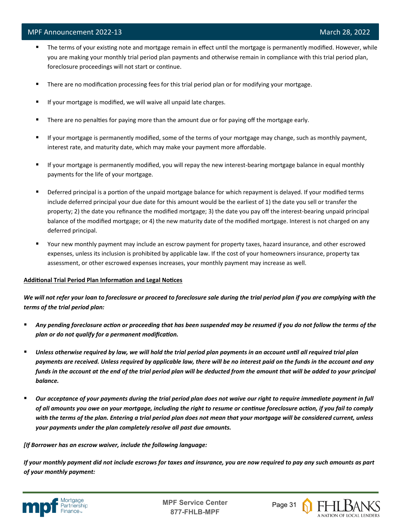- The terms of your existing note and mortgage remain in effect until the mortgage is permanently modified. However, while you are making your monthly trial period plan payments and otherwise remain in compliance with this trial period plan, foreclosure proceedings will not start or continue.
- **There are no modification processing fees for this trial period plan or for modifying your mortgage.**
- If your mortgage is modified, we will waive all unpaid late charges.
- **There are no penalties for paying more than the amount due or for paying off the mortgage early.**
- If your mortgage is permanently modified, some of the terms of your mortgage may change, such as monthly payment, interest rate, and maturity date, which may make your payment more affordable.
- If your mortgage is permanently modified, you will repay the new interest-bearing mortgage balance in equal monthly payments for the life of your mortgage.
- Deferred principal is a portion of the unpaid mortgage balance for which repayment is delayed. If your modified terms include deferred principal your due date for this amount would be the earliest of 1) the date you sell or transfer the property; 2) the date you refinance the modified mortgage; 3) the date you pay off the interest-bearing unpaid principal balance of the modified mortgage; or 4) the new maturity date of the modified mortgage. Interest is not charged on any deferred principal.
- Your new monthly payment may include an escrow payment for property taxes, hazard insurance, and other escrowed expenses, unless its inclusion is prohibited by applicable law. If the cost of your homeowners insurance, property tax assessment, or other escrowed expenses increases, your monthly payment may increase as well.

#### Additional Trial Period Plan Information and Legal Notices

*We will not refer your loan to foreclosure or proceed to foreclosure sale during the trial period plan if you are complying with the terms of the trial period plan:*

- *Any pending foreclosure action or proceeding that has been suspended may be resumed if you do not follow the terms of the plan or do not qualify for a permanent modification.*
- *Unless otherwise required by law, we will hold the trial period plan payments in an account until all required trial plan payments are received. Unless required by applicable law, there will be no interest paid on the funds in the account and any funds in the account at the end of the trial period plan will be deducted from the amount that will be added to your principal balance.*
- *Our acceptance of your payments during the trial period plan does not waive our right to require immediate payment in full of all amounts you owe on your mortgage, including the right to resume or continue foreclosure action, if you fail to comply with the terms of the plan. Entering a trial period plan does not mean that your mortgage will be considered current, unless your payments under the plan completely resolve all past due amounts.*

#### *[If Borrower has an escrow waiver, include the following language:*

*If your monthly payment did not include escrows for taxes and insurance, you are now required to pay any such amounts as part of your monthly payment:*



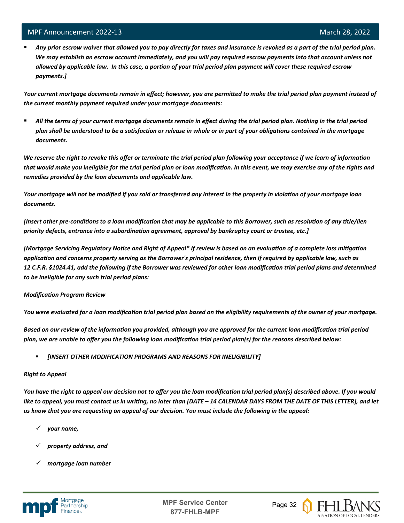l

 *Any prior escrow waiver that allowed you to pay directly for taxes and insurance is revoked as a part of the trial period plan. We may establish an escrow account immediately, and you will pay required escrow payments into that account unless not allowed by applicable law. In this case, a portion of your trial period plan payment will cover these required escrow payments.]*

*Your current mortgage documents remain in effect; however, you are permitted to make the trial period plan payment instead of the current monthly payment required under your mortgage documents:*

 *All the terms of your current mortgage documents remain in effect during the trial period plan. Nothing in the trial period plan shall be understood to be a satisfaction or release in whole or in part of your obligations contained in the mortgage documents.*

*We reserve the right to revoke this offer or terminate the trial period plan following your acceptance if we learn of information*  that would make you ineligible for the trial period plan or loan modification. In this event, we may exercise any of the rights and *remedies provided by the loan documents and applicable law.* 

*Your mortgage will not be modified if you sold or transferred any interest in the property in violation of your mortgage loan documents.* 

*[Insert other pre-conditions to a loan modification that may be applicable to this Borrower, such as resolution of any title/lien priority defects, entrance into a subordination agreement, approval by bankruptcy court or trustee, etc.]* 

*[Mortgage Servicing Regulatory Notice and Right of Appeal\* If review is based on an evaluation of a complete loss mitigation application and concerns property serving as the Borrower's principal residence, then if required by applicable law, such as 12 C.F.R. §1024.41, add the following if the Borrower was reviewed for other loan modification trial period plans and determined to be ineligible for any such trial period plans:*

#### *Modification Program Review*

*You were evaluated for a loan modification trial period plan based on the eligibility requirements of the owner of your mortgage.* 

*Based on our review of the information you provided, although you are approved for the current loan modification trial period plan, we are unable to offer you the following loan modification trial period plan(s) for the reasons described below:*

*[INSERT OTHER MODIFICATION PROGRAMS AND REASONS FOR INELIGIBILITY]*

#### *Right to Appeal*

*You have the right to appeal our decision not to offer you the loan modification trial period plan(s) described above. If you would like to appeal, you must contact us in writing, no later than [DATE – 14 CALENDAR DAYS FROM THE DATE OF THIS LETTER], and let us know that you are requesting an appeal of our decision. You must include the following in the appeal:* 

- *your name,*
- *property address, and*
- *mortgage loan number*



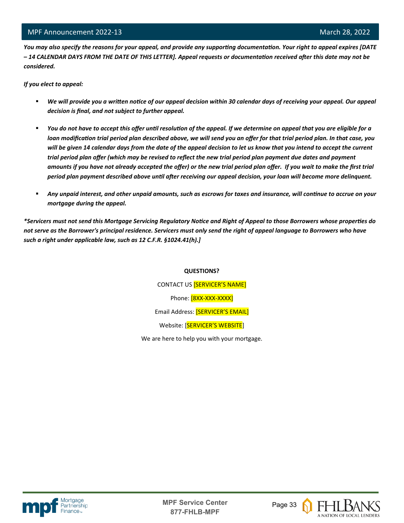*You may also specify the reasons for your appeal, and provide any supporting documentation. Your right to appeal expires [DATE – 14 CALENDAR DAYS FROM THE DATE OF THIS LETTER]. Appeal requests or documentation received after this date may not be considered.* 

*If you elect to appeal:*

l

- *We will provide you a written notice of our appeal decision within 30 calendar days of receiving your appeal. Our appeal decision is final, and not subject to further appeal.*
- *You do not have to accept this offer until resolution of the appeal. If we determine on appeal that you are eligible for a loan modification trial period plan described above, we will send you an offer for that trial period plan. In that case, you will be given 14 calendar days from the date of the appeal decision to let us know that you intend to accept the current trial period plan offer (which may be revised to reflect the new trial period plan payment due dates and payment amounts if you have not already accepted the offer) or the new trial period plan offer. If you wait to make the first trial period plan payment described above until after receiving our appeal decision, your loan will become more delinquent.*
- *Any unpaid interest, and other unpaid amounts, such as escrows for taxes and insurance, will continue to accrue on your mortgage during the appeal.*

*\*Servicers must not send this Mortgage Servicing Regulatory Notice and Right of Appeal to those Borrowers whose properties do not serve as the Borrower's principal residence. Servicers must only send the right of appeal language to Borrowers who have such a right under applicable law, such as 12 C.F.R. §1024.41(h).]*

#### **QUESTIONS?**

CONTACT US [SERVICER'S NAME] Phone: [8XX-XXX-XXXX] Email Address: [SERVICER'S EMAIL] Website: [SERVICER'S WEBSITE]

We are here to help you with your mortgage.



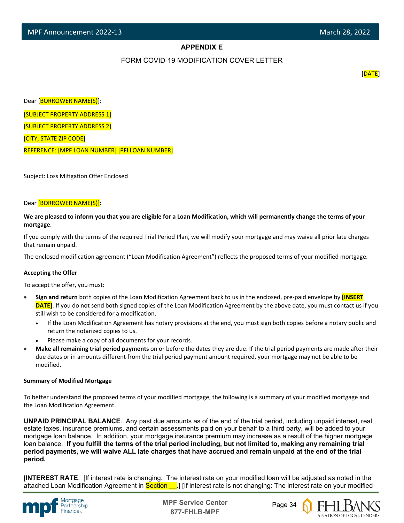#### **APPENDIX E**

#### FORM COVID-19 MODIFICATION COVER LETTER

[DATE]

Dear [BORROWER NAME(S)]:

[SUBJECT PROPERTY ADDRESS 1]

[SUBJECT PROPERTY ADDRESS 2]

[CITY, STATE ZIP CODE]

l

REFERENCE: [MPF LOAN NUMBER] [PFI LOAN NUMBER]

Subject: Loss Mitigation Offer Enclosed

#### Dear [BORROWER NAME(S)]:

**We are pleased to inform you that you are eligible for a Loan Modification, which will permanently change the terms of your mortgage**.

If you comply with the terms of the required Trial Period Plan, we will modify your mortgage and may waive all prior late charges that remain unpaid.

The enclosed modification agreement ("Loan Modification Agreement") reflects the proposed terms of your modified mortgage.

#### **Accepting the Offer**

To accept the offer, you must:

- **Sign and return** both copies of the Loan Modification Agreement back to us in the enclosed, pre-paid envelope by **[INSERT DATE]**. If you do not send both signed copies of the Loan Modification Agreement by the above date, you must contact us if you still wish to be considered for a modification.
	- If the Loan Modification Agreement has notary provisions at the end, you must sign both copies before a notary public and return the notarized copies to us.
	- Please make a copy of all documents for your records.
- **Make all remaining trial period payments** on or before the dates they are due. If the trial period payments are made after their due dates or in amounts different from the trial period payment amount required, your mortgage may not be able to be modified.

#### **Summary of Modified Mortgage**

To better understand the proposed terms of your modified mortgage, the following is a summary of your modified mortgage and the Loan Modification Agreement.

**UNPAID PRINCIPAL BALANCE**. Any past due amounts as of the end of the trial period, including unpaid interest, real estate taxes, insurance premiums, and certain assessments paid on your behalf to a third party, will be added to your mortgage loan balance. In addition, your mortgage insurance premium may increase as a result of the higher mortgage loan balance. **If you fulfill the terms of the trial period including, but not limited to, making any remaining trial period payments, we will waive ALL late charges that have accrued and remain unpaid at the end of the trial period.**

[**INTEREST RATE**. [If interest rate is changing: The interest rate on your modified loan will be adjusted as noted in the attached Loan Modification Agreement in Section . If interest rate is not changing: The interest rate on your modified